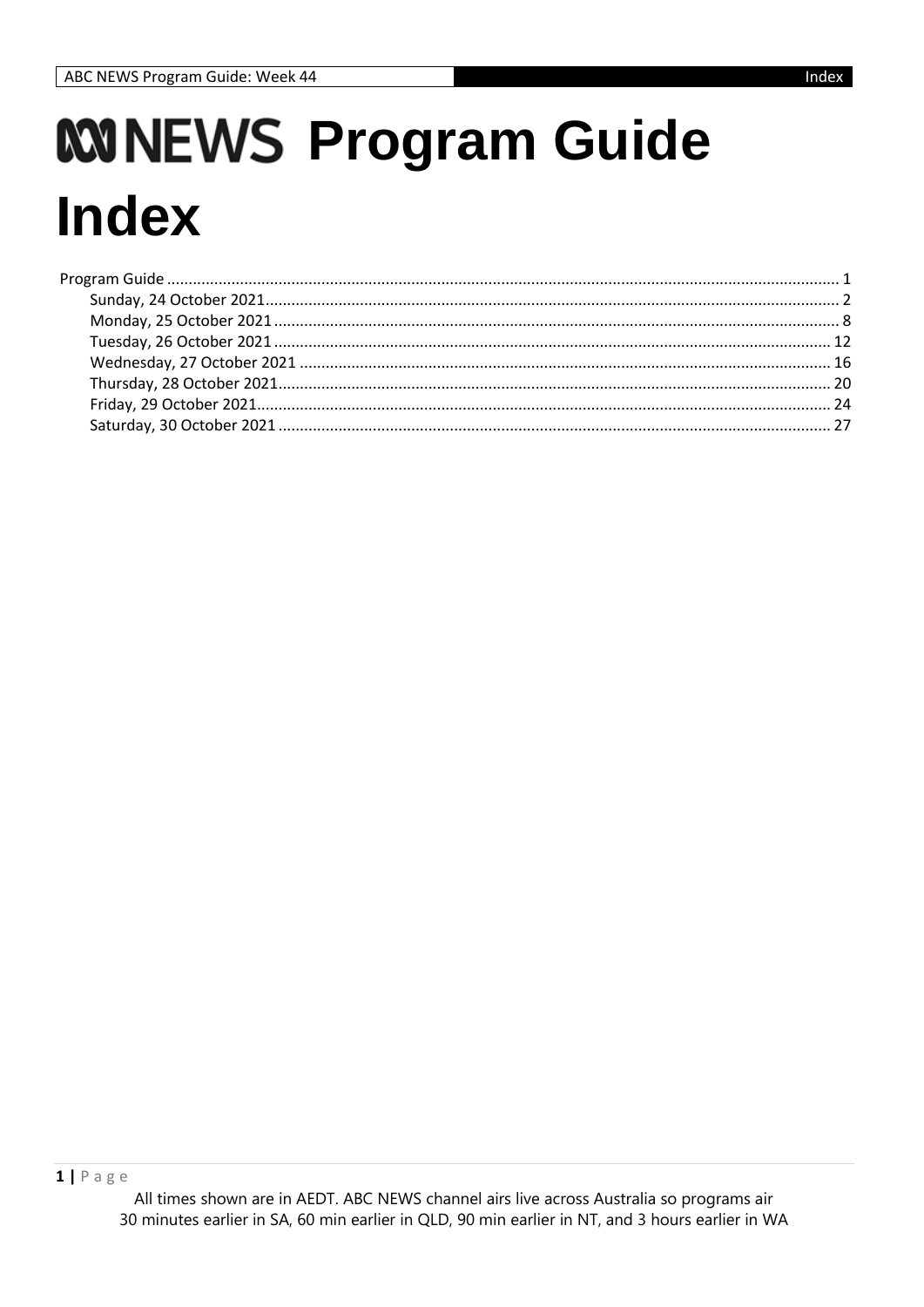# <span id="page-0-0"></span>**WINEWS Program Guide Index**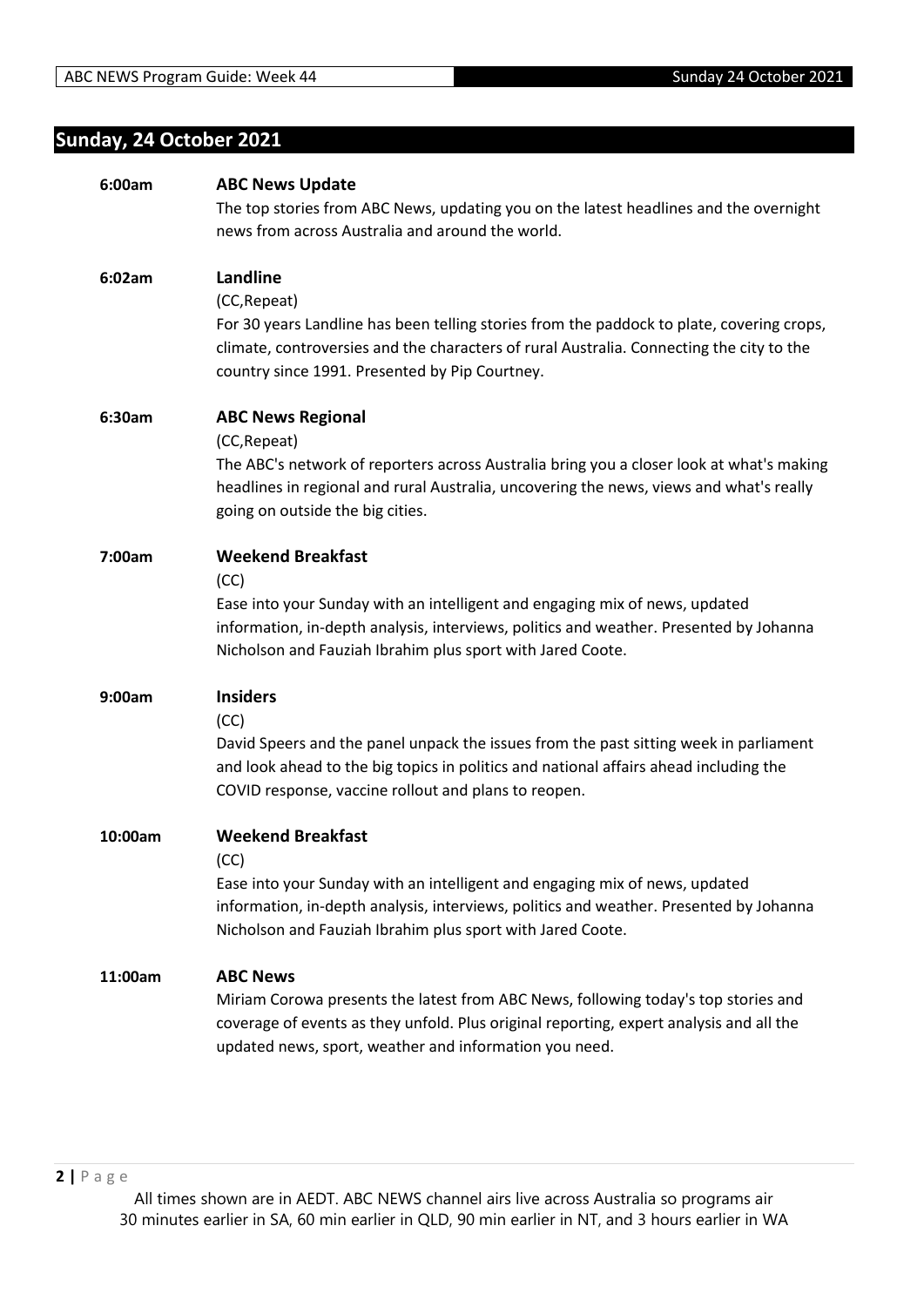## <span id="page-1-0"></span>**Sunday, 24 October 2021**

| 6:00am  | <b>ABC News Update</b>                                                                                                                                                        |
|---------|-------------------------------------------------------------------------------------------------------------------------------------------------------------------------------|
|         | The top stories from ABC News, updating you on the latest headlines and the overnight                                                                                         |
|         | news from across Australia and around the world.                                                                                                                              |
|         |                                                                                                                                                                               |
| 6:02am  | Landline                                                                                                                                                                      |
|         | (CC, Repeat)                                                                                                                                                                  |
|         | For 30 years Landline has been telling stories from the paddock to plate, covering crops,                                                                                     |
|         | climate, controversies and the characters of rural Australia. Connecting the city to the                                                                                      |
|         | country since 1991. Presented by Pip Courtney.                                                                                                                                |
|         |                                                                                                                                                                               |
| 6:30am  | <b>ABC News Regional</b>                                                                                                                                                      |
|         | (CC, Repeat)                                                                                                                                                                  |
|         | The ABC's network of reporters across Australia bring you a closer look at what's making                                                                                      |
|         | headlines in regional and rural Australia, uncovering the news, views and what's really                                                                                       |
|         | going on outside the big cities.                                                                                                                                              |
|         |                                                                                                                                                                               |
| 7:00am  | <b>Weekend Breakfast</b>                                                                                                                                                      |
|         | (CC)                                                                                                                                                                          |
|         | Ease into your Sunday with an intelligent and engaging mix of news, updated                                                                                                   |
|         | information, in-depth analysis, interviews, politics and weather. Presented by Johanna                                                                                        |
|         | Nicholson and Fauziah Ibrahim plus sport with Jared Coote.                                                                                                                    |
| 9:00am  | <b>Insiders</b>                                                                                                                                                               |
|         | (CC)                                                                                                                                                                          |
|         | David Speers and the panel unpack the issues from the past sitting week in parliament                                                                                         |
|         | and look ahead to the big topics in politics and national affairs ahead including the                                                                                         |
|         | COVID response, vaccine rollout and plans to reopen.                                                                                                                          |
|         |                                                                                                                                                                               |
| 10:00am | <b>Weekend Breakfast</b>                                                                                                                                                      |
|         | (CC)                                                                                                                                                                          |
|         | Ease into your Sunday with an intelligent and engaging mix of news, updated                                                                                                   |
|         | information, in-depth analysis, interviews, politics and weather. Presented by Johanna                                                                                        |
|         | Nicholson and Fauziah Ibrahim plus sport with Jared Coote.                                                                                                                    |
|         |                                                                                                                                                                               |
| 11:00am | <b>ABC News</b>                                                                                                                                                               |
|         | Miriam Corowa presents the latest from ABC News, following today's top stories and<br>coverage of events as they unfold. Plus original reporting, expert analysis and all the |
|         | updated news, sport, weather and information you need.                                                                                                                        |
|         |                                                                                                                                                                               |
|         |                                                                                                                                                                               |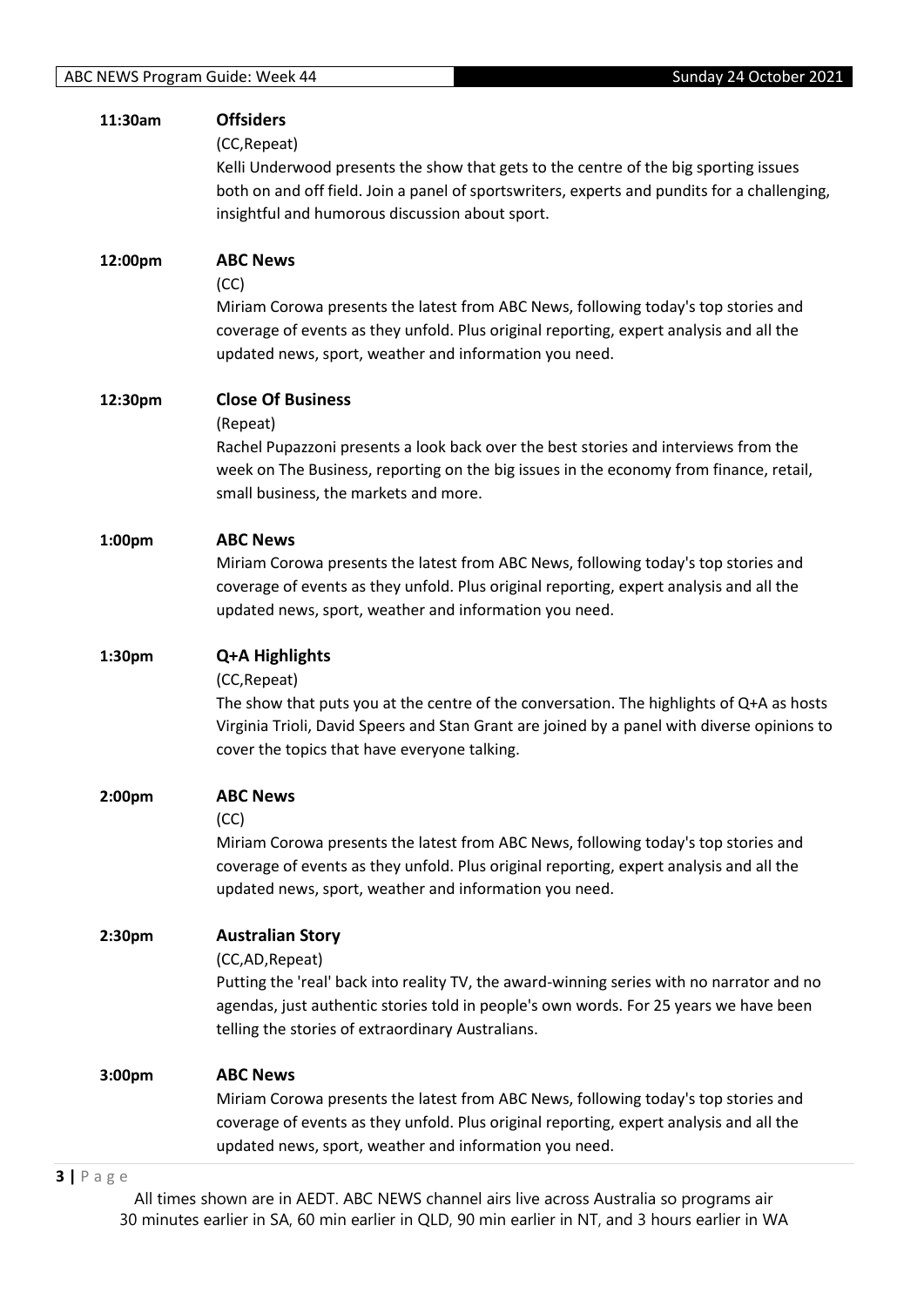| 11:30am | <b>Offsiders</b>                                                                                                                                                                        |
|---------|-----------------------------------------------------------------------------------------------------------------------------------------------------------------------------------------|
|         | (CC, Repeat)<br>Kelli Underwood presents the show that gets to the centre of the big sporting issues                                                                                    |
|         | both on and off field. Join a panel of sportswriters, experts and pundits for a challenging,                                                                                            |
|         | insightful and humorous discussion about sport.                                                                                                                                         |
| 12:00pm | <b>ABC News</b>                                                                                                                                                                         |
|         | (CC)                                                                                                                                                                                    |
|         | Miriam Corowa presents the latest from ABC News, following today's top stories and<br>coverage of events as they unfold. Plus original reporting, expert analysis and all the           |
|         | updated news, sport, weather and information you need.                                                                                                                                  |
| 12:30pm | <b>Close Of Business</b>                                                                                                                                                                |
|         | (Repeat)                                                                                                                                                                                |
|         | Rachel Pupazzoni presents a look back over the best stories and interviews from the<br>week on The Business, reporting on the big issues in the economy from finance, retail,           |
|         | small business, the markets and more.                                                                                                                                                   |
| 1:00pm  | <b>ABC News</b>                                                                                                                                                                         |
|         | Miriam Corowa presents the latest from ABC News, following today's top stories and                                                                                                      |
|         | coverage of events as they unfold. Plus original reporting, expert analysis and all the<br>updated news, sport, weather and information you need.                                       |
|         |                                                                                                                                                                                         |
| 1:30pm  | Q+A Highlights                                                                                                                                                                          |
|         |                                                                                                                                                                                         |
|         | (CC, Repeat)                                                                                                                                                                            |
|         | The show that puts you at the centre of the conversation. The highlights of Q+A as hosts<br>Virginia Trioli, David Speers and Stan Grant are joined by a panel with diverse opinions to |
|         | cover the topics that have everyone talking.                                                                                                                                            |
| 2:00pm  | <b>ABC News</b>                                                                                                                                                                         |
|         | (CC)                                                                                                                                                                                    |
|         | Miriam Corowa presents the latest from ABC News, following today's top stories and                                                                                                      |
|         | coverage of events as they unfold. Plus original reporting, expert analysis and all the<br>updated news, sport, weather and information you need.                                       |
| 2:30pm  | <b>Australian Story</b>                                                                                                                                                                 |
|         | (CC,AD, Repeat)                                                                                                                                                                         |
|         | Putting the 'real' back into reality TV, the award-winning series with no narrator and no                                                                                               |
|         | agendas, just authentic stories told in people's own words. For 25 years we have been<br>telling the stories of extraordinary Australians.                                              |
| 3:00pm  | <b>ABC News</b>                                                                                                                                                                         |
|         | Miriam Corowa presents the latest from ABC News, following today's top stories and                                                                                                      |
|         | coverage of events as they unfold. Plus original reporting, expert analysis and all the<br>updated news, sport, weather and information you need.                                       |

#### **3 |** P a g e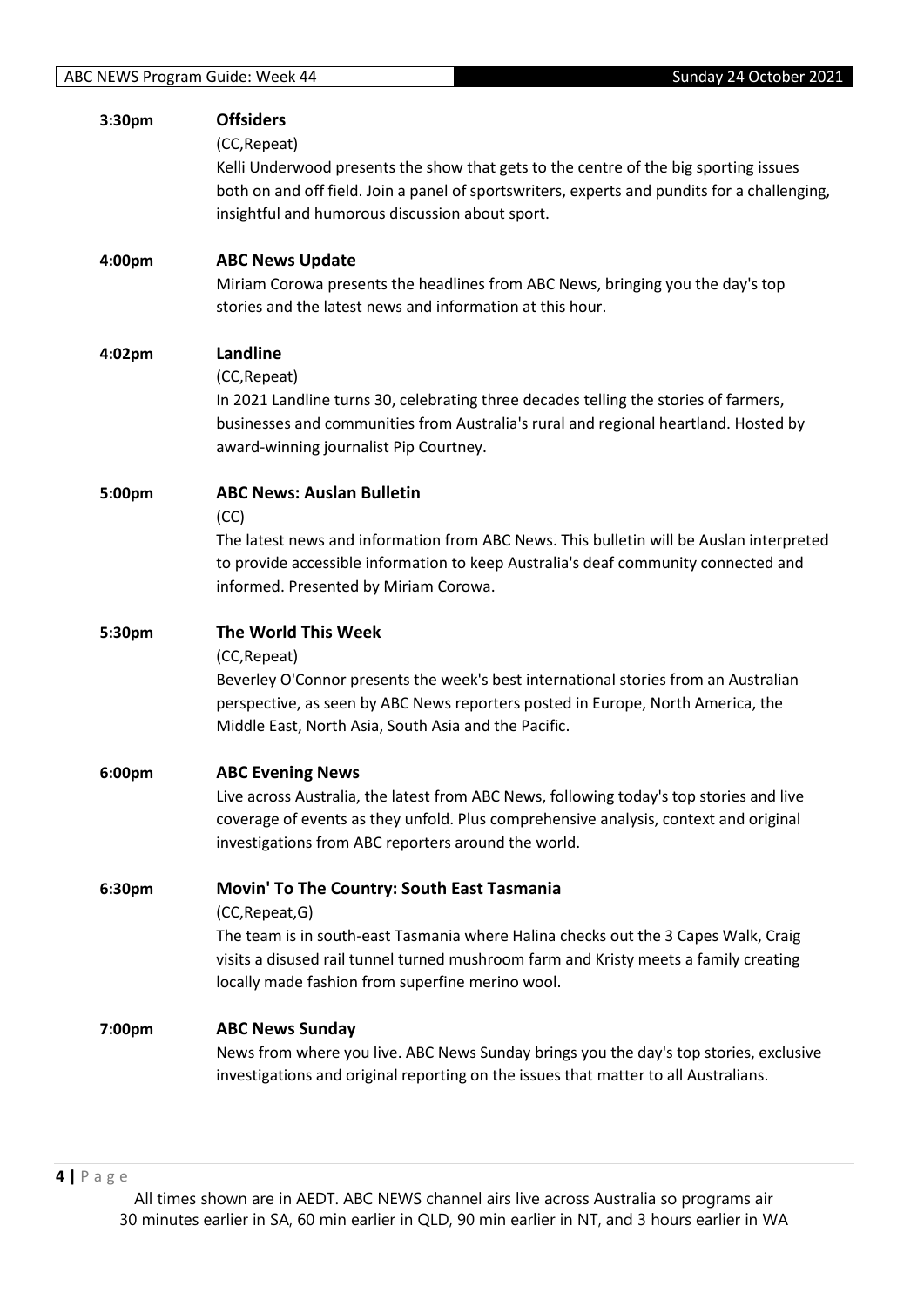| 3:30pm | <b>Offsiders</b>                                                                                                                                                             |
|--------|------------------------------------------------------------------------------------------------------------------------------------------------------------------------------|
|        | (CC, Repeat)                                                                                                                                                                 |
|        | Kelli Underwood presents the show that gets to the centre of the big sporting issues                                                                                         |
|        | both on and off field. Join a panel of sportswriters, experts and pundits for a challenging,                                                                                 |
|        | insightful and humorous discussion about sport.                                                                                                                              |
|        |                                                                                                                                                                              |
| 4:00pm | <b>ABC News Update</b>                                                                                                                                                       |
|        | Miriam Corowa presents the headlines from ABC News, bringing you the day's top                                                                                               |
|        | stories and the latest news and information at this hour.                                                                                                                    |
|        |                                                                                                                                                                              |
| 4:02pm | Landline                                                                                                                                                                     |
|        | (CC, Repeat)                                                                                                                                                                 |
|        | In 2021 Landline turns 30, celebrating three decades telling the stories of farmers,                                                                                         |
|        | businesses and communities from Australia's rural and regional heartland. Hosted by                                                                                          |
|        | award-winning journalist Pip Courtney.                                                                                                                                       |
|        |                                                                                                                                                                              |
| 5:00pm | <b>ABC News: Auslan Bulletin</b>                                                                                                                                             |
|        | (CC)                                                                                                                                                                         |
|        | The latest news and information from ABC News. This bulletin will be Auslan interpreted                                                                                      |
|        | to provide accessible information to keep Australia's deaf community connected and                                                                                           |
|        | informed. Presented by Miriam Corowa.                                                                                                                                        |
|        |                                                                                                                                                                              |
|        |                                                                                                                                                                              |
| 5:30pm | The World This Week                                                                                                                                                          |
|        | (CC, Repeat)                                                                                                                                                                 |
|        | Beverley O'Connor presents the week's best international stories from an Australian                                                                                          |
|        | perspective, as seen by ABC News reporters posted in Europe, North America, the                                                                                              |
|        | Middle East, North Asia, South Asia and the Pacific.                                                                                                                         |
|        |                                                                                                                                                                              |
| 6:00pm | <b>ABC Evening News</b>                                                                                                                                                      |
|        | Live across Australia, the latest from ABC News, following today's top stories and live                                                                                      |
|        | coverage of events as they unfold. Plus comprehensive analysis, context and original<br>investigations from ABC reporters around the world.                                  |
|        |                                                                                                                                                                              |
| 6:30pm | Movin' To The Country: South East Tasmania                                                                                                                                   |
|        | (CC, Repeat, G)                                                                                                                                                              |
|        | The team is in south-east Tasmania where Halina checks out the 3 Capes Walk, Craig                                                                                           |
|        | visits a disused rail tunnel turned mushroom farm and Kristy meets a family creating                                                                                         |
|        | locally made fashion from superfine merino wool.                                                                                                                             |
|        |                                                                                                                                                                              |
| 7:00pm | <b>ABC News Sunday</b>                                                                                                                                                       |
|        | News from where you live. ABC News Sunday brings you the day's top stories, exclusive<br>investigations and original reporting on the issues that matter to all Australians. |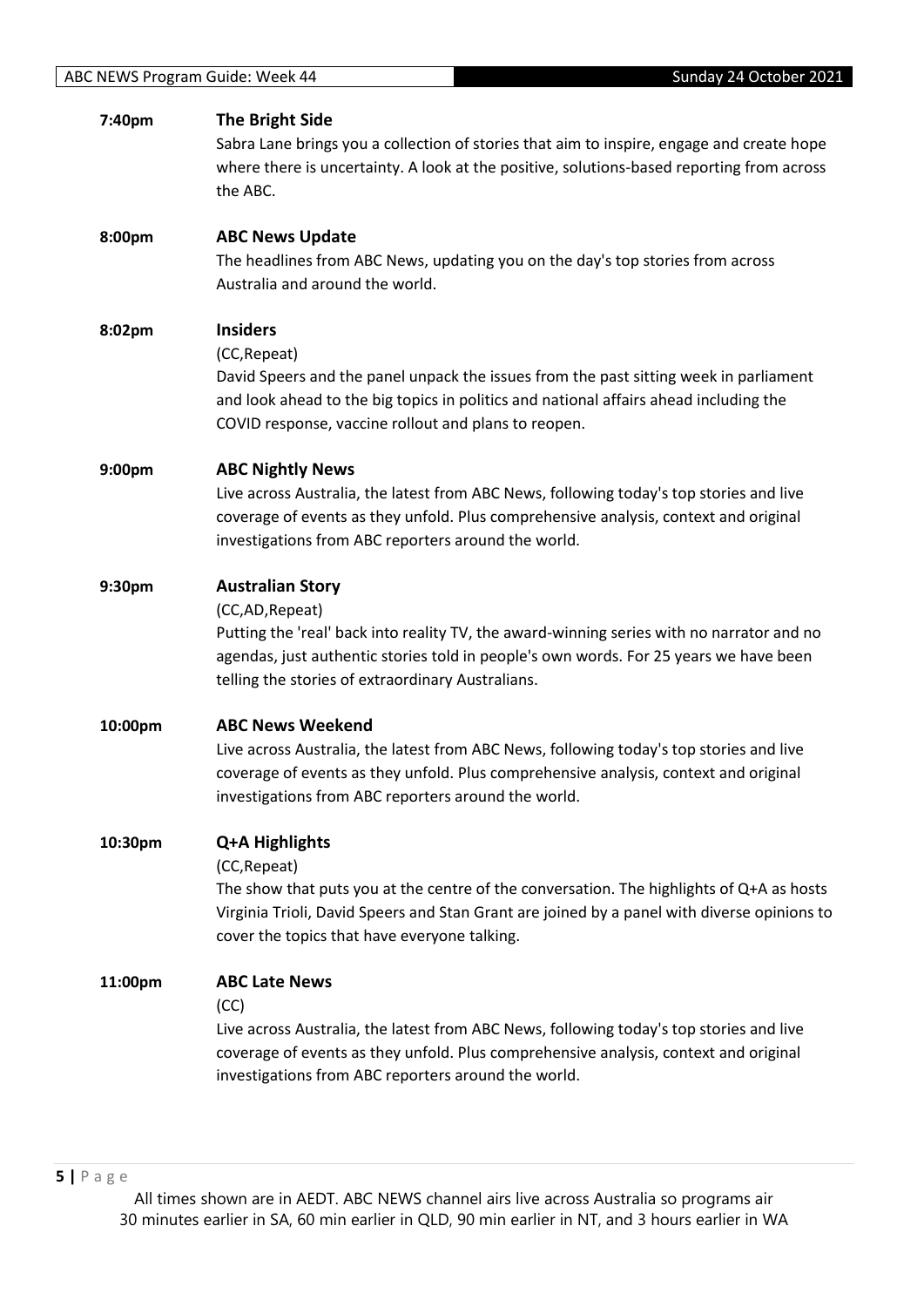| 7:40pm  | <b>The Bright Side</b><br>Sabra Lane brings you a collection of stories that aim to inspire, engage and create hope<br>where there is uncertainty. A look at the positive, solutions-based reporting from across<br>the ABC.                                                          |
|---------|---------------------------------------------------------------------------------------------------------------------------------------------------------------------------------------------------------------------------------------------------------------------------------------|
| 8:00pm  | <b>ABC News Update</b><br>The headlines from ABC News, updating you on the day's top stories from across<br>Australia and around the world.                                                                                                                                           |
| 8:02pm  | <b>Insiders</b><br>(CC, Repeat)<br>David Speers and the panel unpack the issues from the past sitting week in parliament<br>and look ahead to the big topics in politics and national affairs ahead including the<br>COVID response, vaccine rollout and plans to reopen.             |
| 9:00pm  | <b>ABC Nightly News</b><br>Live across Australia, the latest from ABC News, following today's top stories and live<br>coverage of events as they unfold. Plus comprehensive analysis, context and original<br>investigations from ABC reporters around the world.                     |
| 9:30pm  | <b>Australian Story</b><br>(CC,AD, Repeat)<br>Putting the 'real' back into reality TV, the award-winning series with no narrator and no<br>agendas, just authentic stories told in people's own words. For 25 years we have been<br>telling the stories of extraordinary Australians. |
| 10:00pm | <b>ABC News Weekend</b><br>Live across Australia, the latest from ABC News, following today's top stories and live<br>coverage of events as they unfold. Plus comprehensive analysis, context and original<br>investigations from ABC reporters around the world.                     |
| 10:30pm | Q+A Highlights<br>(CC, Repeat)<br>The show that puts you at the centre of the conversation. The highlights of Q+A as hosts<br>Virginia Trioli, David Speers and Stan Grant are joined by a panel with diverse opinions to<br>cover the topics that have everyone talking.             |
| 11:00pm | <b>ABC Late News</b><br>(CC)<br>Live across Australia, the latest from ABC News, following today's top stories and live<br>coverage of events as they unfold. Plus comprehensive analysis, context and original<br>investigations from ABC reporters around the world.                |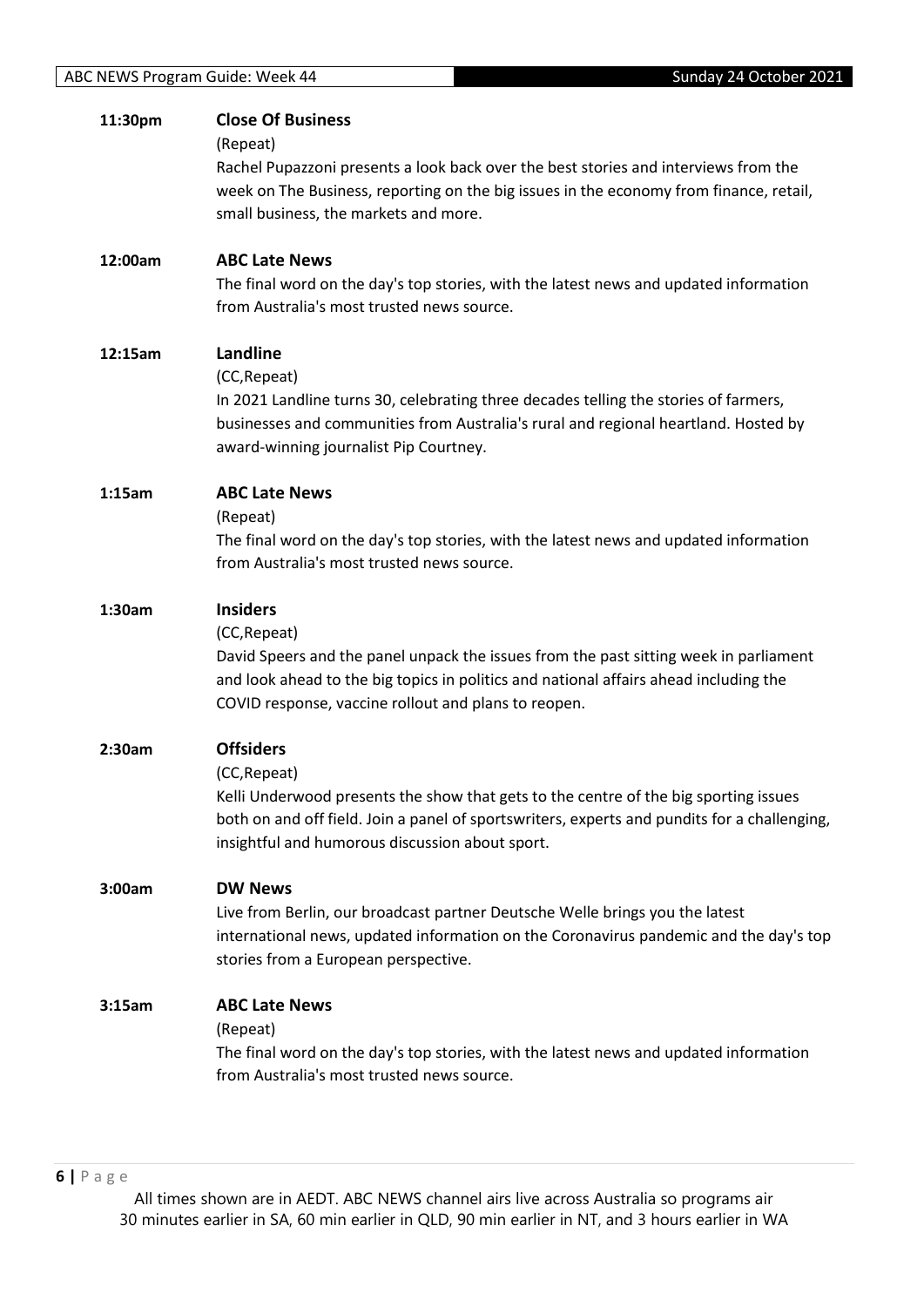| 11:30pm | <b>Close Of Business</b>                                                                     |
|---------|----------------------------------------------------------------------------------------------|
|         | (Repeat)                                                                                     |
|         | Rachel Pupazzoni presents a look back over the best stories and interviews from the          |
|         | week on The Business, reporting on the big issues in the economy from finance, retail,       |
|         | small business, the markets and more.                                                        |
| 12:00am | <b>ABC Late News</b>                                                                         |
|         | The final word on the day's top stories, with the latest news and updated information        |
|         | from Australia's most trusted news source.                                                   |
| 12:15am | Landline                                                                                     |
|         | (CC, Repeat)                                                                                 |
|         | In 2021 Landline turns 30, celebrating three decades telling the stories of farmers,         |
|         | businesses and communities from Australia's rural and regional heartland. Hosted by          |
|         | award-winning journalist Pip Courtney.                                                       |
| 1:15am  | <b>ABC Late News</b>                                                                         |
|         | (Repeat)                                                                                     |
|         | The final word on the day's top stories, with the latest news and updated information        |
|         | from Australia's most trusted news source.                                                   |
| 1:30am  | <b>Insiders</b>                                                                              |
|         | (CC, Repeat)                                                                                 |
|         | David Speers and the panel unpack the issues from the past sitting week in parliament        |
|         | and look ahead to the big topics in politics and national affairs ahead including the        |
|         | COVID response, vaccine rollout and plans to reopen.                                         |
| 2:30am  | <b>Offsiders</b>                                                                             |
|         | (CC, Repeat)                                                                                 |
|         | Kelli Underwood presents the show that gets to the centre of the big sporting issues         |
|         | both on and off field. Join a panel of sportswriters, experts and pundits for a challenging, |
|         | insightful and humorous discussion about sport.                                              |
| 3:00am  | <b>DW News</b>                                                                               |
|         | Live from Berlin, our broadcast partner Deutsche Welle brings you the latest                 |
|         | international news, updated information on the Coronavirus pandemic and the day's top        |
|         | stories from a European perspective.                                                         |
| 3:15am  | <b>ABC Late News</b>                                                                         |
|         | (Repeat)                                                                                     |
|         | The final word on the day's top stories, with the latest news and updated information        |
|         | from Australia's most trusted news source.                                                   |
|         |                                                                                              |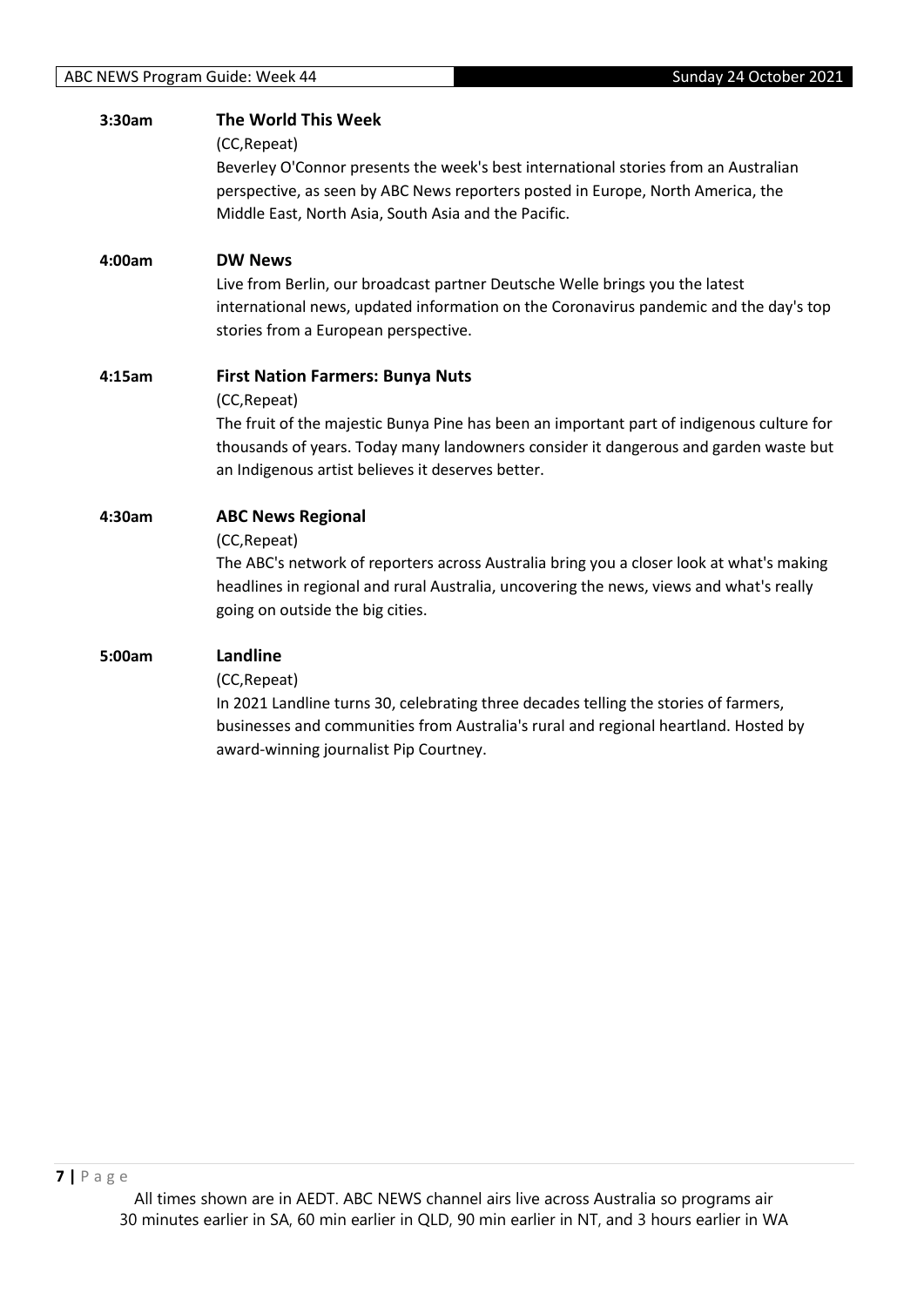| 3:30am | The World This Week                                                                       |
|--------|-------------------------------------------------------------------------------------------|
|        | (CC, Repeat)                                                                              |
|        | Beverley O'Connor presents the week's best international stories from an Australian       |
|        | perspective, as seen by ABC News reporters posted in Europe, North America, the           |
|        | Middle East, North Asia, South Asia and the Pacific.                                      |
| 4:00am | <b>DW News</b>                                                                            |
|        | Live from Berlin, our broadcast partner Deutsche Welle brings you the latest              |
|        | international news, updated information on the Coronavirus pandemic and the day's top     |
|        | stories from a European perspective.                                                      |
| 4:15am | <b>First Nation Farmers: Bunya Nuts</b>                                                   |
|        | (CC, Repeat)                                                                              |
|        | The fruit of the majestic Bunya Pine has been an important part of indigenous culture for |
|        | thousands of years. Today many landowners consider it dangerous and garden waste but      |
|        | an Indigenous artist believes it deserves better.                                         |
| 4:30am | <b>ABC News Regional</b>                                                                  |
|        | (CC, Repeat)                                                                              |
|        | The ABC's network of reporters across Australia bring you a closer look at what's making  |
|        | headlines in regional and rural Australia, uncovering the news, views and what's really   |
|        | going on outside the big cities.                                                          |
| 5:00am | Landline                                                                                  |
|        | (CC, Repeat)                                                                              |
|        | In 2021 Landline turns 30, celebrating three decades telling the stories of farmers,      |
|        | businesses and communities from Australia's rural and regional heartland. Hosted by       |
|        | award-winning journalist Pip Courtney.                                                    |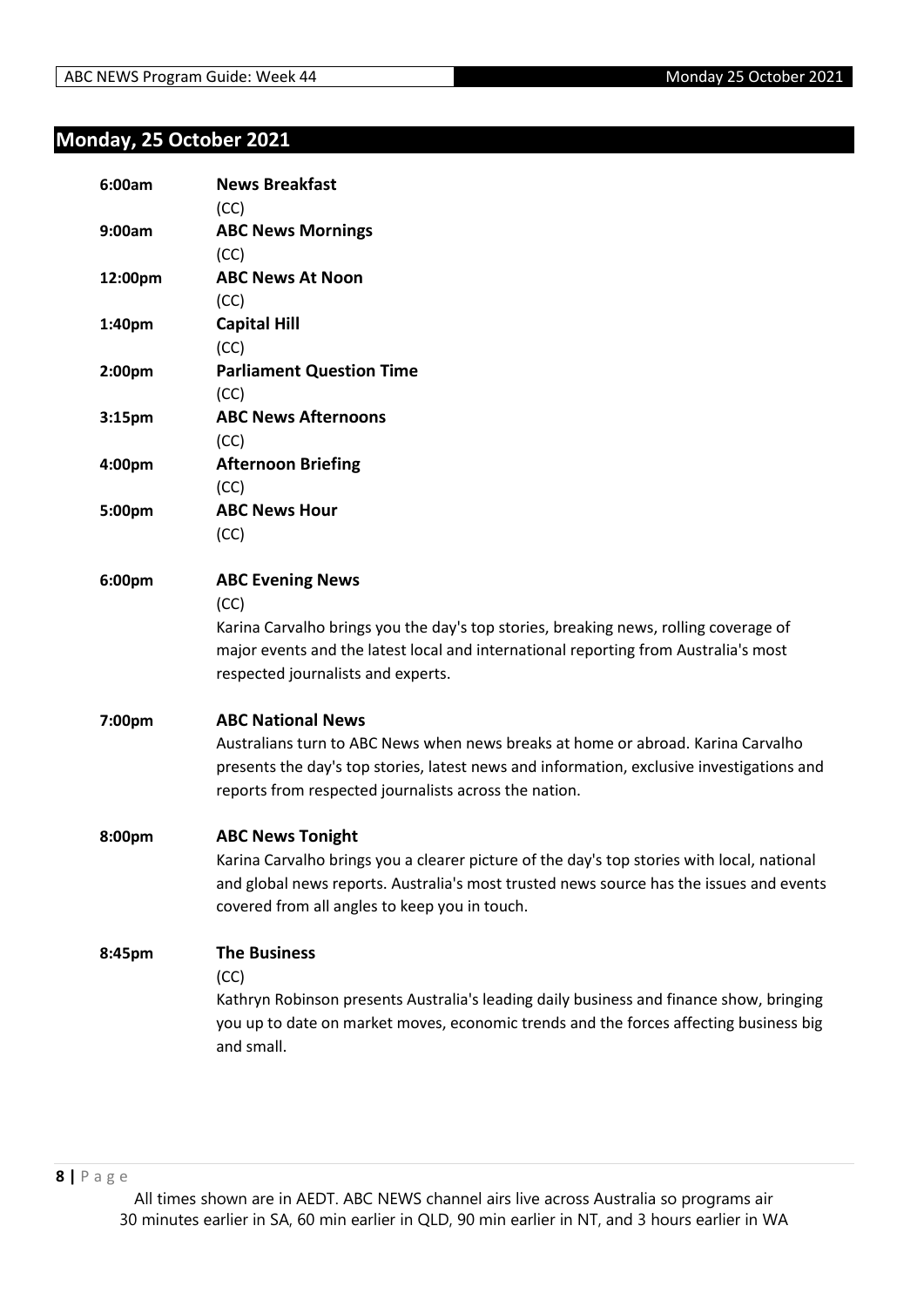## <span id="page-7-0"></span>**Monday, 25 October 2021**

| 6:00am             | <b>News Breakfast</b>                                                                      |
|--------------------|--------------------------------------------------------------------------------------------|
|                    | (CC)                                                                                       |
| 9:00am             | <b>ABC News Mornings</b>                                                                   |
|                    | (CC)                                                                                       |
| 12:00pm            | <b>ABC News At Noon</b>                                                                    |
|                    | (CC)                                                                                       |
| 1:40pm             | <b>Capital Hill</b>                                                                        |
|                    | (CC)                                                                                       |
| 2:00pm             | <b>Parliament Question Time</b>                                                            |
|                    | (CC)                                                                                       |
| 3:15 <sub>pm</sub> | <b>ABC News Afternoons</b>                                                                 |
|                    | (CC)                                                                                       |
| 4:00pm             | <b>Afternoon Briefing</b>                                                                  |
|                    | (CC)                                                                                       |
| 5:00pm             | <b>ABC News Hour</b>                                                                       |
|                    | (CC)                                                                                       |
| 6:00pm             | <b>ABC Evening News</b>                                                                    |
|                    | (CC)                                                                                       |
|                    | Karina Carvalho brings you the day's top stories, breaking news, rolling coverage of       |
|                    | major events and the latest local and international reporting from Australia's most        |
|                    | respected journalists and experts.                                                         |
| 7:00pm             | <b>ABC National News</b>                                                                   |
|                    | Australians turn to ABC News when news breaks at home or abroad. Karina Carvalho           |
|                    | presents the day's top stories, latest news and information, exclusive investigations and  |
|                    | reports from respected journalists across the nation.                                      |
| 8:00pm             | <b>ABC News Tonight</b>                                                                    |
|                    | Karina Carvalho brings you a clearer picture of the day's top stories with local, national |
|                    | and global news reports. Australia's most trusted news source has the issues and events    |
|                    | covered from all angles to keep you in touch.                                              |
| 8:45pm             | <b>The Business</b>                                                                        |
|                    | (CC)                                                                                       |
|                    | Kathryn Robinson presents Australia's leading daily business and finance show, bringing    |
|                    | you up to date on market moves, economic trends and the forces affecting business big      |
|                    | and small.                                                                                 |
|                    |                                                                                            |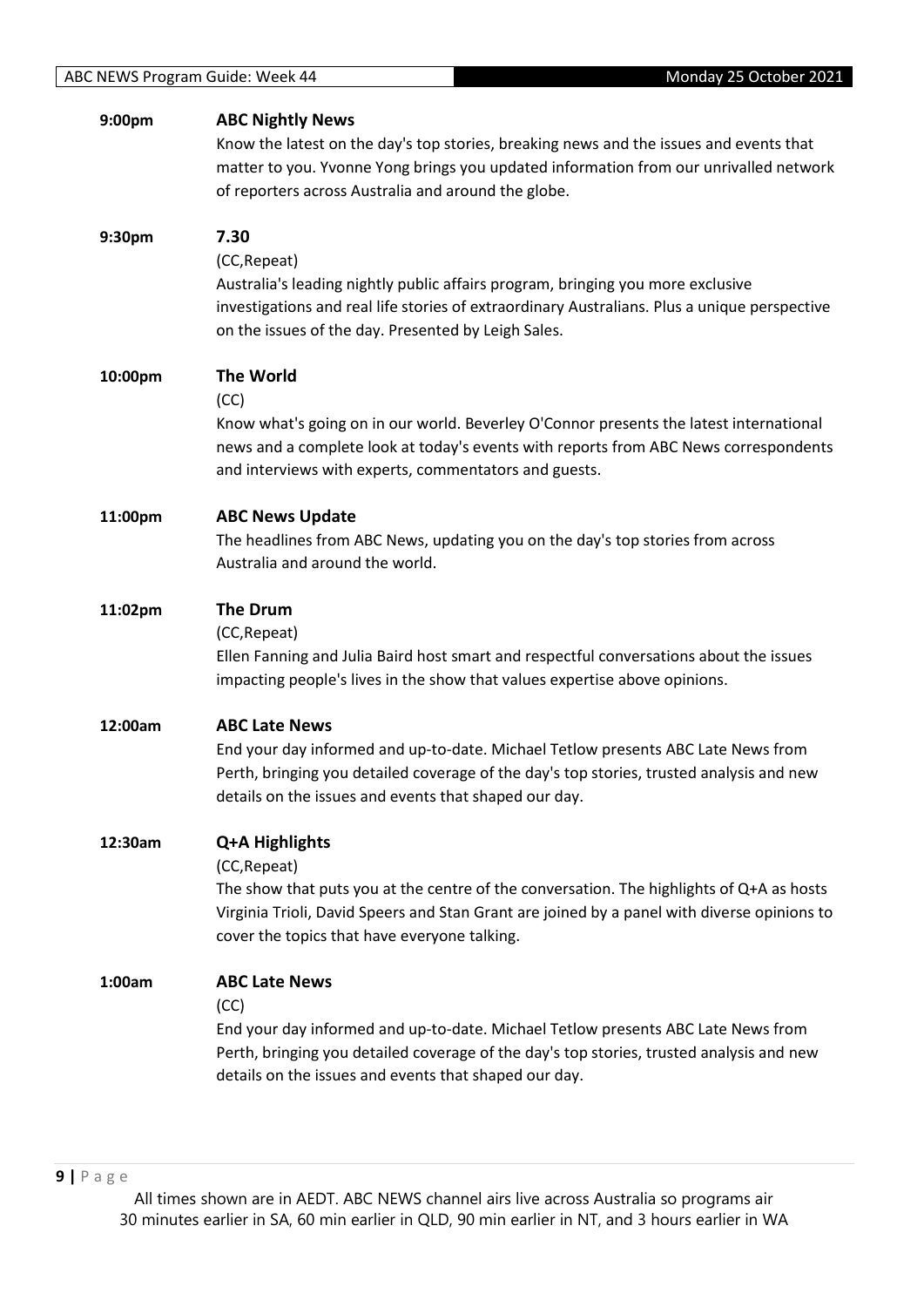| 9:00pm  | <b>ABC Nightly News</b><br>Know the latest on the day's top stories, breaking news and the issues and events that<br>matter to you. Yvonne Yong brings you updated information from our unrivalled network<br>of reporters across Australia and around the globe.         |
|---------|---------------------------------------------------------------------------------------------------------------------------------------------------------------------------------------------------------------------------------------------------------------------------|
| 9:30pm  | 7.30<br>(CC, Repeat)<br>Australia's leading nightly public affairs program, bringing you more exclusive<br>investigations and real life stories of extraordinary Australians. Plus a unique perspective<br>on the issues of the day. Presented by Leigh Sales.            |
| 10:00pm | <b>The World</b><br>(CC)<br>Know what's going on in our world. Beverley O'Connor presents the latest international<br>news and a complete look at today's events with reports from ABC News correspondents<br>and interviews with experts, commentators and guests.       |
| 11:00pm | <b>ABC News Update</b><br>The headlines from ABC News, updating you on the day's top stories from across<br>Australia and around the world.                                                                                                                               |
| 11:02pm | <b>The Drum</b><br>(CC, Repeat)<br>Ellen Fanning and Julia Baird host smart and respectful conversations about the issues<br>impacting people's lives in the show that values expertise above opinions.                                                                   |
| 12:00am | <b>ABC Late News</b><br>End your day informed and up-to-date. Michael Tetlow presents ABC Late News from<br>Perth, bringing you detailed coverage of the day's top stories, trusted analysis and new<br>details on the issues and events that shaped our day.             |
| 12:30am | Q+A Highlights<br>(CC, Repeat)<br>The show that puts you at the centre of the conversation. The highlights of Q+A as hosts<br>Virginia Trioli, David Speers and Stan Grant are joined by a panel with diverse opinions to<br>cover the topics that have everyone talking. |
| 1:00am  | <b>ABC Late News</b><br>(CC)<br>End your day informed and up-to-date. Michael Tetlow presents ABC Late News from<br>Perth, bringing you detailed coverage of the day's top stories, trusted analysis and new<br>details on the issues and events that shaped our day.     |
|         |                                                                                                                                                                                                                                                                           |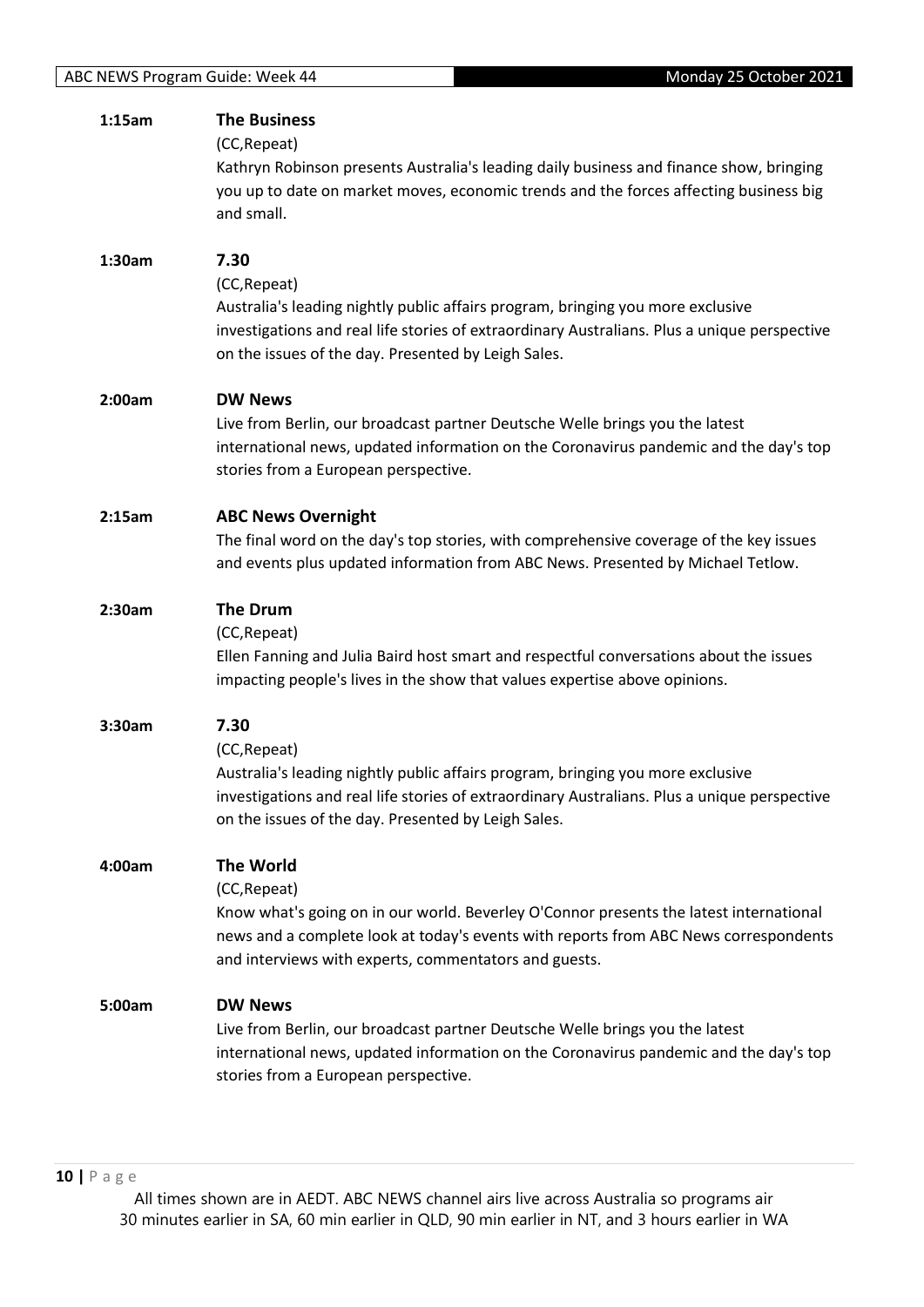| 1:15am | <b>The Business</b>                                                                          |
|--------|----------------------------------------------------------------------------------------------|
|        | (CC, Repeat)                                                                                 |
|        | Kathryn Robinson presents Australia's leading daily business and finance show, bringing      |
|        | you up to date on market moves, economic trends and the forces affecting business big        |
|        |                                                                                              |
|        | and small.                                                                                   |
| 1:30am | 7.30                                                                                         |
|        | (CC, Repeat)                                                                                 |
|        | Australia's leading nightly public affairs program, bringing you more exclusive              |
|        | investigations and real life stories of extraordinary Australians. Plus a unique perspective |
|        | on the issues of the day. Presented by Leigh Sales.                                          |
|        |                                                                                              |
| 2:00am | <b>DW News</b>                                                                               |
|        | Live from Berlin, our broadcast partner Deutsche Welle brings you the latest                 |
|        | international news, updated information on the Coronavirus pandemic and the day's top        |
|        | stories from a European perspective.                                                         |
| 2:15am | <b>ABC News Overnight</b>                                                                    |
|        | The final word on the day's top stories, with comprehensive coverage of the key issues       |
|        |                                                                                              |
|        | and events plus updated information from ABC News. Presented by Michael Tetlow.              |
| 2:30am | <b>The Drum</b>                                                                              |
|        | (CC, Repeat)                                                                                 |
|        | Ellen Fanning and Julia Baird host smart and respectful conversations about the issues       |
|        | impacting people's lives in the show that values expertise above opinions.                   |
|        |                                                                                              |
| 3:30am | 7.30                                                                                         |
|        | (CC, Repeat)                                                                                 |
|        | Australia's leading nightly public affairs program, bringing you more exclusive              |
|        | investigations and real life stories of extraordinary Australians. Plus a unique perspective |
|        | on the issues of the day. Presented by Leigh Sales.                                          |
| 4:00am | <b>The World</b>                                                                             |
|        | (CC, Repeat)                                                                                 |
|        |                                                                                              |
|        | Know what's going on in our world. Beverley O'Connor presents the latest international       |
|        | news and a complete look at today's events with reports from ABC News correspondents         |
|        | and interviews with experts, commentators and guests.                                        |
| 5:00am | <b>DW News</b>                                                                               |
|        | Live from Berlin, our broadcast partner Deutsche Welle brings you the latest                 |
|        | international news, updated information on the Coronavirus pandemic and the day's top        |
|        | stories from a European perspective.                                                         |
|        |                                                                                              |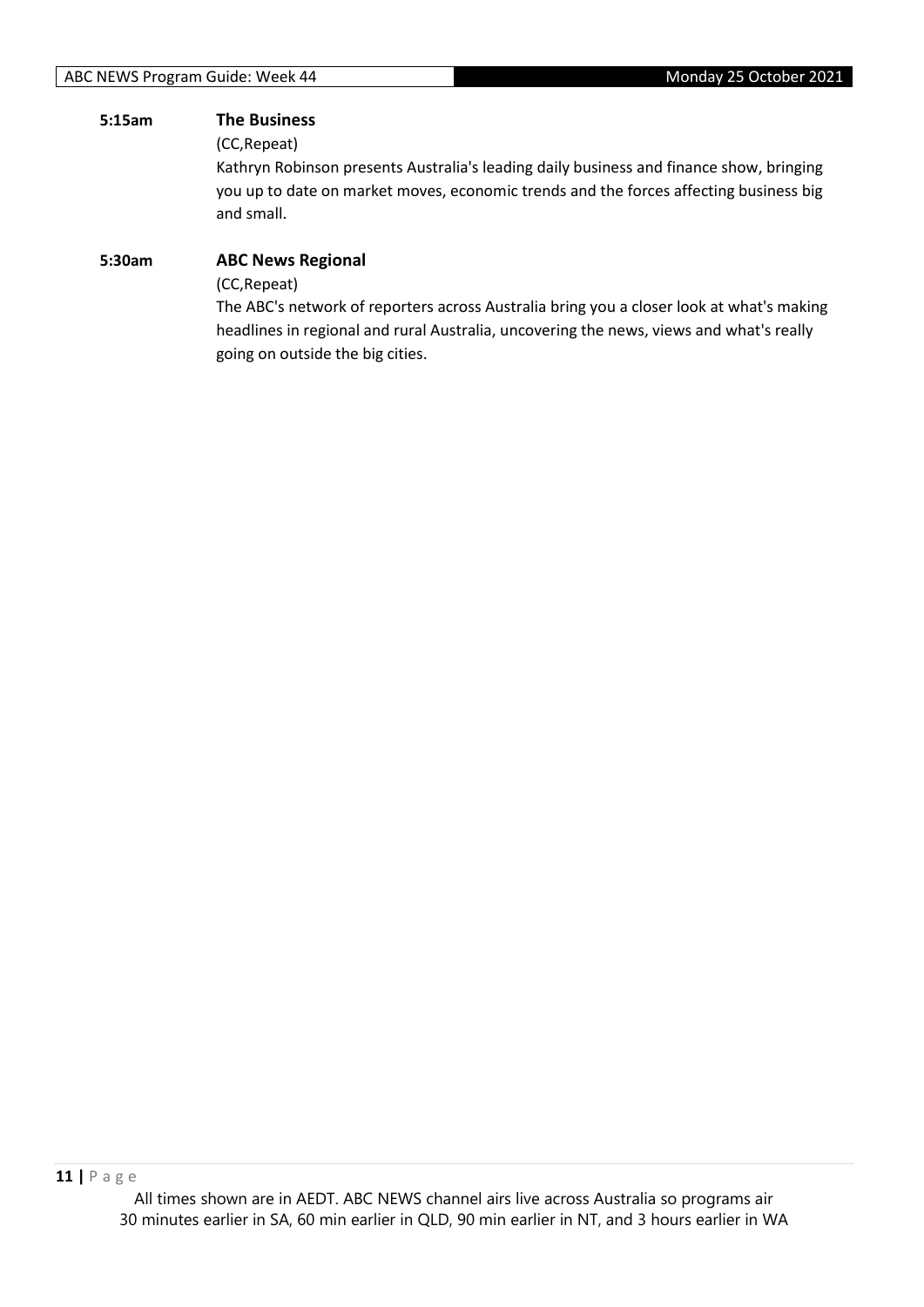#### **5:15am The Business**

(CC,Repeat)

Kathryn Robinson presents Australia's leading daily business and finance show, bringing you up to date on market moves, economic trends and the forces affecting business big and small.

## **5:30am ABC News Regional** (CC,Repeat) The ABC's network of reporters across Australia bring you a closer look at what's making headlines in regional and rural Australia, uncovering the news, views and what's really

going on outside the big cities.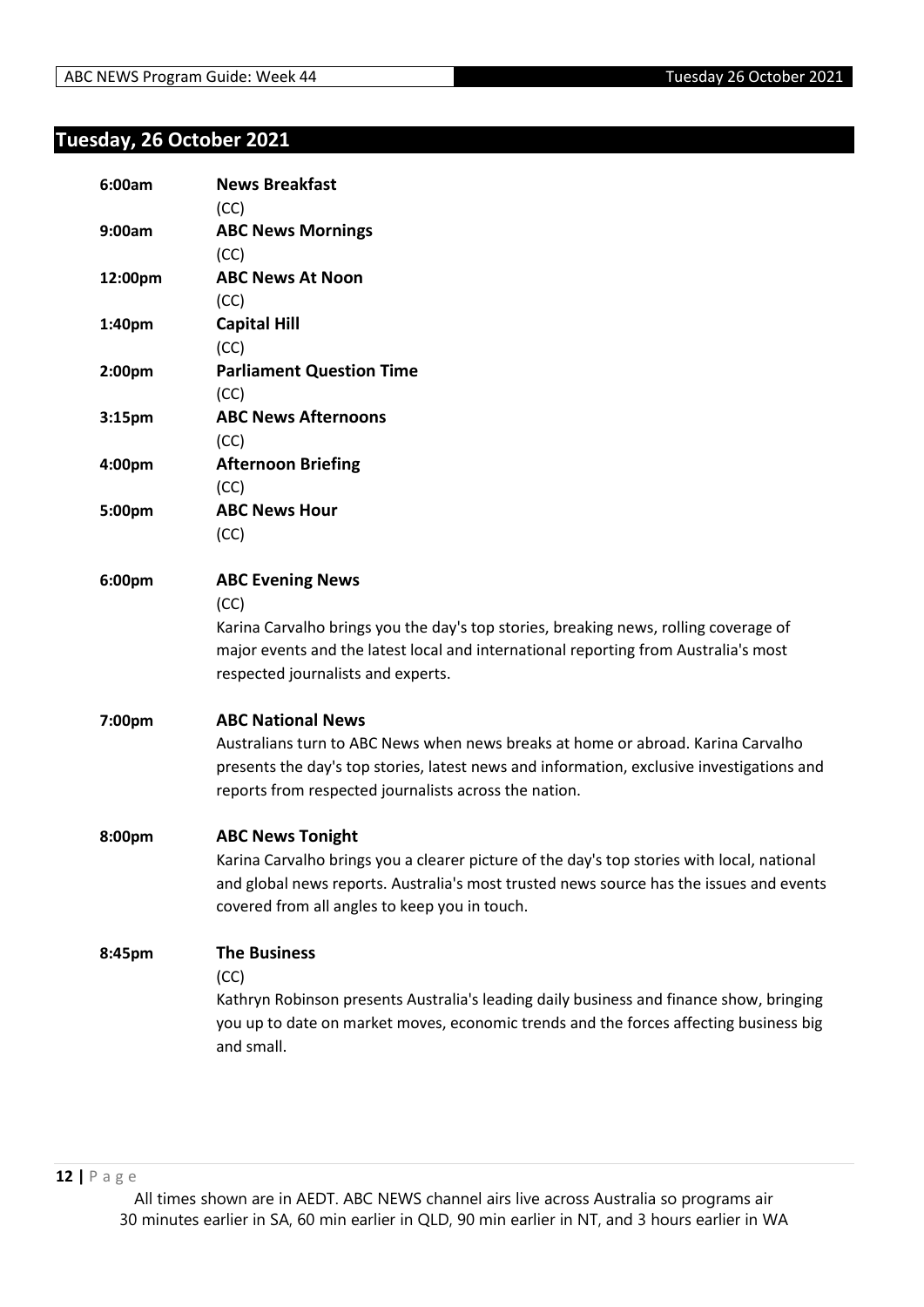# <span id="page-11-0"></span>**Tuesday, 26 October 2021**

| 6:00am  | <b>News Breakfast</b>                                                                      |
|---------|--------------------------------------------------------------------------------------------|
|         | (CC)                                                                                       |
| 9:00am  | <b>ABC News Mornings</b>                                                                   |
|         | (CC)                                                                                       |
| 12:00pm | <b>ABC News At Noon</b>                                                                    |
|         | (CC)                                                                                       |
| 1:40pm  | <b>Capital Hill</b>                                                                        |
|         | (CC)                                                                                       |
| 2:00pm  | <b>Parliament Question Time</b>                                                            |
|         | (CC)                                                                                       |
| 3:15pm  | <b>ABC News Afternoons</b>                                                                 |
|         | (CC)                                                                                       |
| 4:00pm  | <b>Afternoon Briefing</b>                                                                  |
|         | (CC)                                                                                       |
| 5:00pm  | <b>ABC News Hour</b>                                                                       |
|         | (CC)                                                                                       |
| 6:00pm  | <b>ABC Evening News</b>                                                                    |
|         | (CC)                                                                                       |
|         | Karina Carvalho brings you the day's top stories, breaking news, rolling coverage of       |
|         | major events and the latest local and international reporting from Australia's most        |
|         | respected journalists and experts.                                                         |
| 7:00pm  | <b>ABC National News</b>                                                                   |
|         | Australians turn to ABC News when news breaks at home or abroad. Karina Carvalho           |
|         | presents the day's top stories, latest news and information, exclusive investigations and  |
|         | reports from respected journalists across the nation.                                      |
| 8:00pm  | <b>ABC News Tonight</b>                                                                    |
|         | Karina Carvalho brings you a clearer picture of the day's top stories with local, national |
|         | and global news reports. Australia's most trusted news source has the issues and events    |
|         | covered from all angles to keep you in touch.                                              |
| 8:45pm  | <b>The Business</b>                                                                        |
|         | (CC)                                                                                       |
|         | Kathryn Robinson presents Australia's leading daily business and finance show, bringing    |
|         | you up to date on market moves, economic trends and the forces affecting business big      |
|         | and small.                                                                                 |
|         |                                                                                            |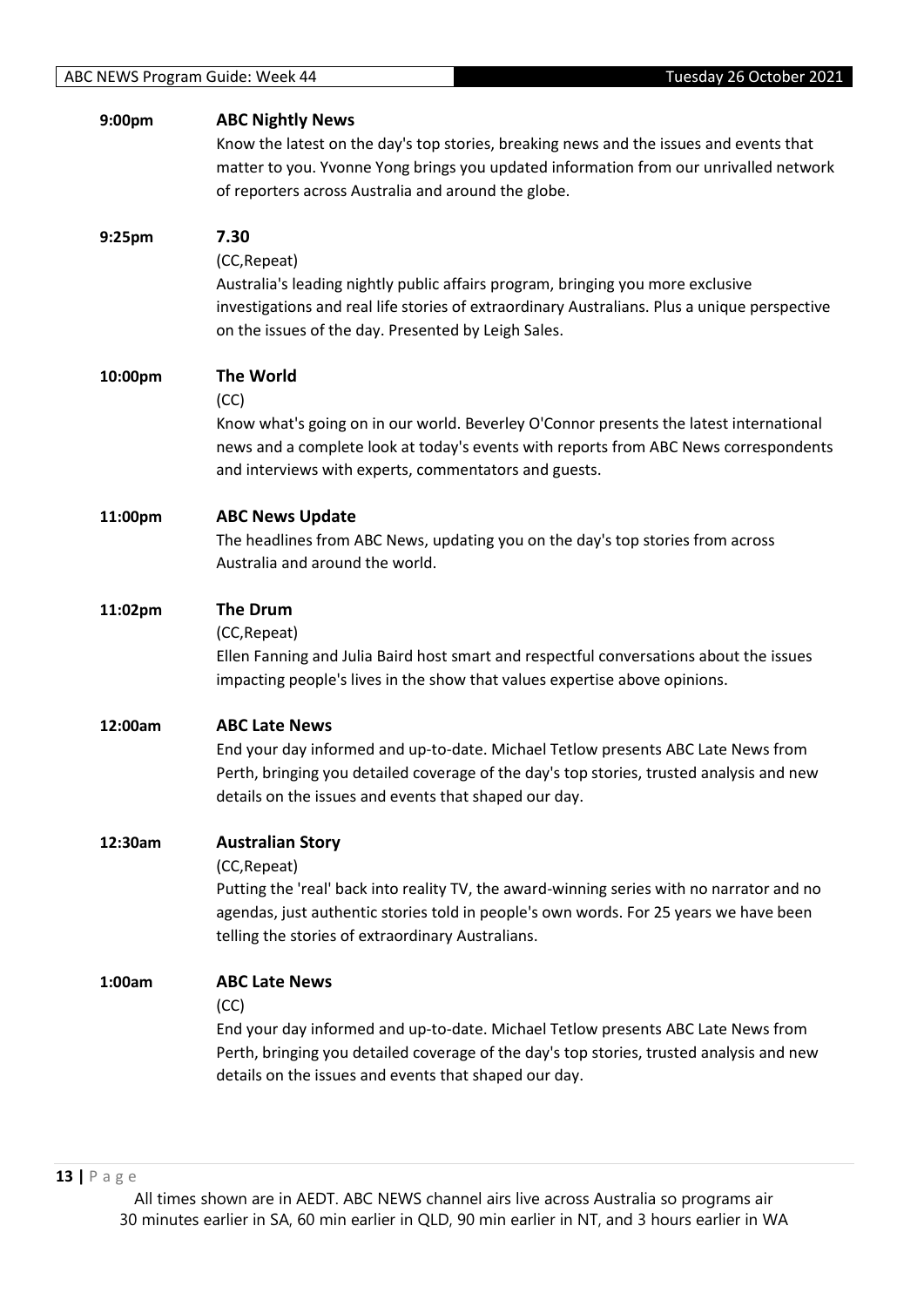| 9:00pm  | <b>ABC Nightly News</b><br>Know the latest on the day's top stories, breaking news and the issues and events that<br>matter to you. Yvonne Yong brings you updated information from our unrivalled network<br>of reporters across Australia and around the globe.                  |
|---------|------------------------------------------------------------------------------------------------------------------------------------------------------------------------------------------------------------------------------------------------------------------------------------|
| 9:25pm  | 7.30<br>(CC, Repeat)<br>Australia's leading nightly public affairs program, bringing you more exclusive<br>investigations and real life stories of extraordinary Australians. Plus a unique perspective<br>on the issues of the day. Presented by Leigh Sales.                     |
| 10:00pm | <b>The World</b><br>(CC)<br>Know what's going on in our world. Beverley O'Connor presents the latest international<br>news and a complete look at today's events with reports from ABC News correspondents<br>and interviews with experts, commentators and guests.                |
| 11:00pm | <b>ABC News Update</b><br>The headlines from ABC News, updating you on the day's top stories from across<br>Australia and around the world.                                                                                                                                        |
| 11:02pm | <b>The Drum</b><br>(CC, Repeat)<br>Ellen Fanning and Julia Baird host smart and respectful conversations about the issues<br>impacting people's lives in the show that values expertise above opinions.                                                                            |
| 12:00am | <b>ABC Late News</b><br>End your day informed and up-to-date. Michael Tetlow presents ABC Late News from<br>Perth, bringing you detailed coverage of the day's top stories, trusted analysis and new<br>details on the issues and events that shaped our day.                      |
| 12:30am | <b>Australian Story</b><br>(CC, Repeat)<br>Putting the 'real' back into reality TV, the award-winning series with no narrator and no<br>agendas, just authentic stories told in people's own words. For 25 years we have been<br>telling the stories of extraordinary Australians. |
| 1:00am  | <b>ABC Late News</b><br>(CC)<br>End your day informed and up-to-date. Michael Tetlow presents ABC Late News from<br>Perth, bringing you detailed coverage of the day's top stories, trusted analysis and new<br>details on the issues and events that shaped our day.              |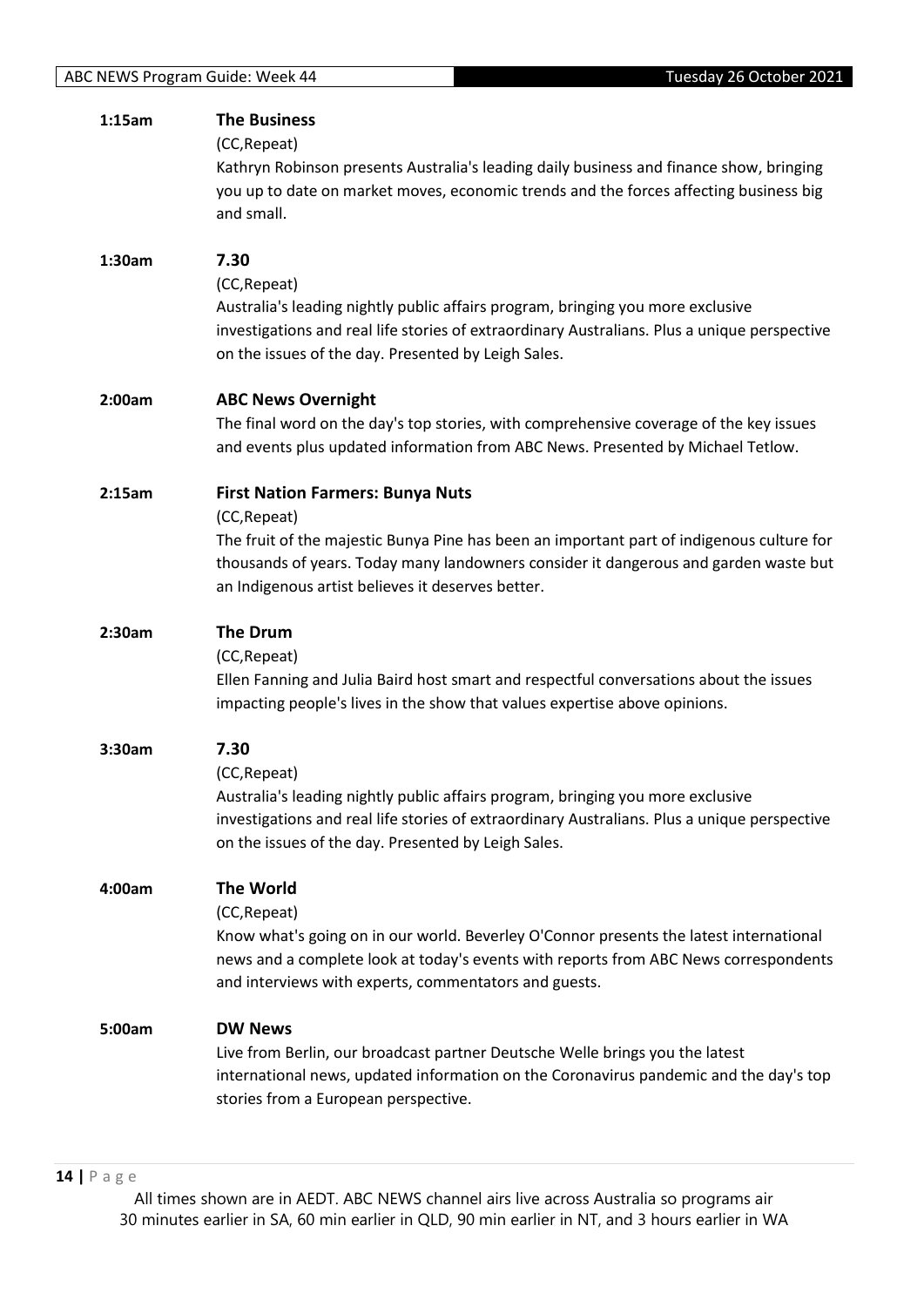| 1:15am | <b>The Business</b><br>(CC, Repeat)<br>Kathryn Robinson presents Australia's leading daily business and finance show, bringing<br>you up to date on market moves, economic trends and the forces affecting business big<br>and small.                                                             |
|--------|---------------------------------------------------------------------------------------------------------------------------------------------------------------------------------------------------------------------------------------------------------------------------------------------------|
| 1:30am | 7.30<br>(CC, Repeat)<br>Australia's leading nightly public affairs program, bringing you more exclusive<br>investigations and real life stories of extraordinary Australians. Plus a unique perspective<br>on the issues of the day. Presented by Leigh Sales.                                    |
| 2:00am | <b>ABC News Overnight</b><br>The final word on the day's top stories, with comprehensive coverage of the key issues<br>and events plus updated information from ABC News. Presented by Michael Tetlow.                                                                                            |
| 2:15am | <b>First Nation Farmers: Bunya Nuts</b><br>(CC, Repeat)<br>The fruit of the majestic Bunya Pine has been an important part of indigenous culture for<br>thousands of years. Today many landowners consider it dangerous and garden waste but<br>an Indigenous artist believes it deserves better. |
| 2:30am | <b>The Drum</b><br>(CC, Repeat)<br>Ellen Fanning and Julia Baird host smart and respectful conversations about the issues<br>impacting people's lives in the show that values expertise above opinions.                                                                                           |
| 3:30am | 7.30<br>(CC, Repeat)<br>Australia's leading nightly public affairs program, bringing you more exclusive<br>investigations and real life stories of extraordinary Australians. Plus a unique perspective<br>on the issues of the day. Presented by Leigh Sales.                                    |
| 4:00am | <b>The World</b><br>(CC, Repeat)<br>Know what's going on in our world. Beverley O'Connor presents the latest international<br>news and a complete look at today's events with reports from ABC News correspondents<br>and interviews with experts, commentators and guests.                       |
| 5:00am | <b>DW News</b><br>Live from Berlin, our broadcast partner Deutsche Welle brings you the latest<br>international news, updated information on the Coronavirus pandemic and the day's top<br>stories from a European perspective.                                                                   |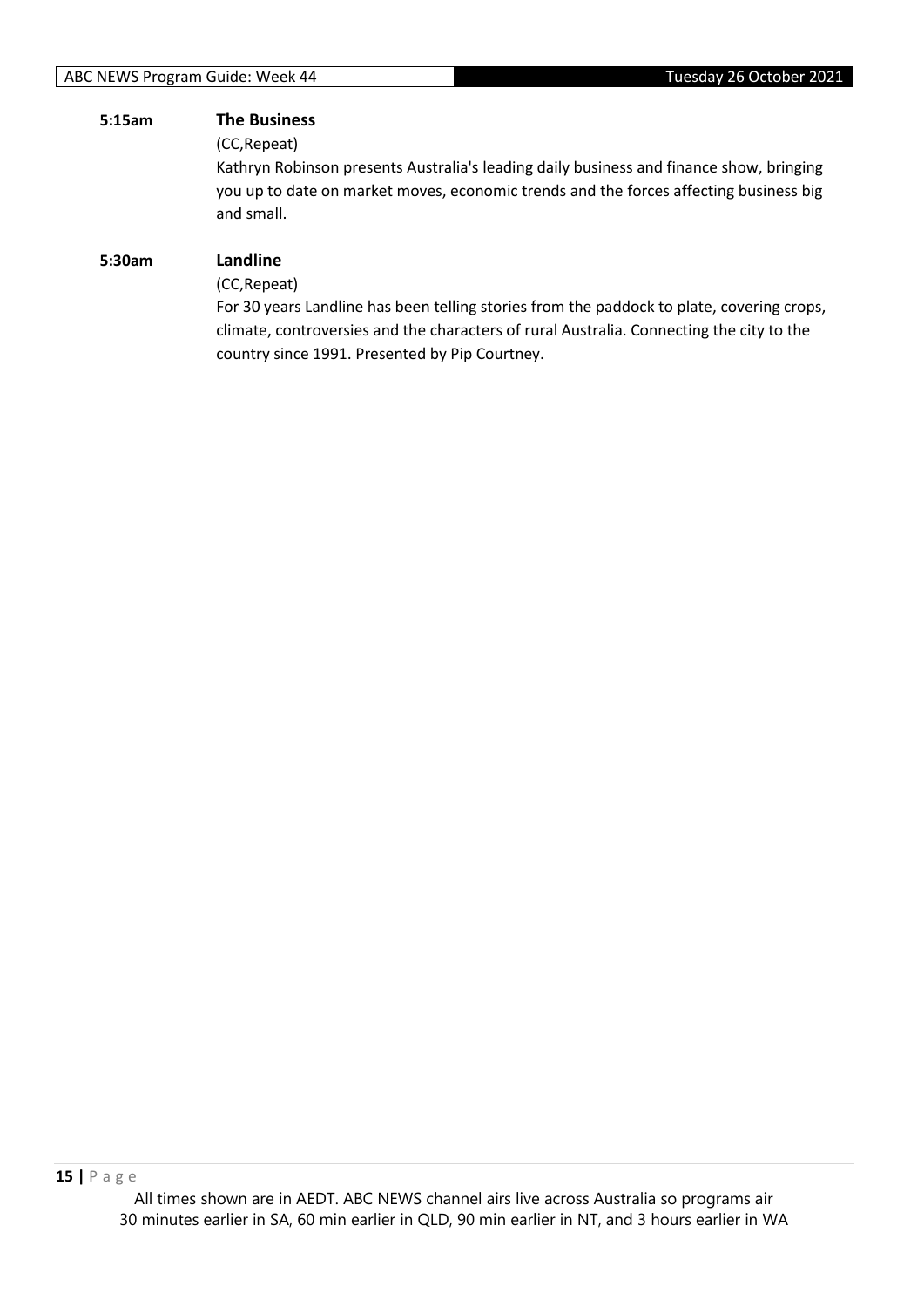## **5:15am The Business**

(CC,Repeat)

Kathryn Robinson presents Australia's leading daily business and finance show, bringing you up to date on market moves, economic trends and the forces affecting business big and small.

## **5:30am Landline**

(CC,Repeat)

For 30 years Landline has been telling stories from the paddock to plate, covering crops, climate, controversies and the characters of rural Australia. Connecting the city to the country since 1991. Presented by Pip Courtney.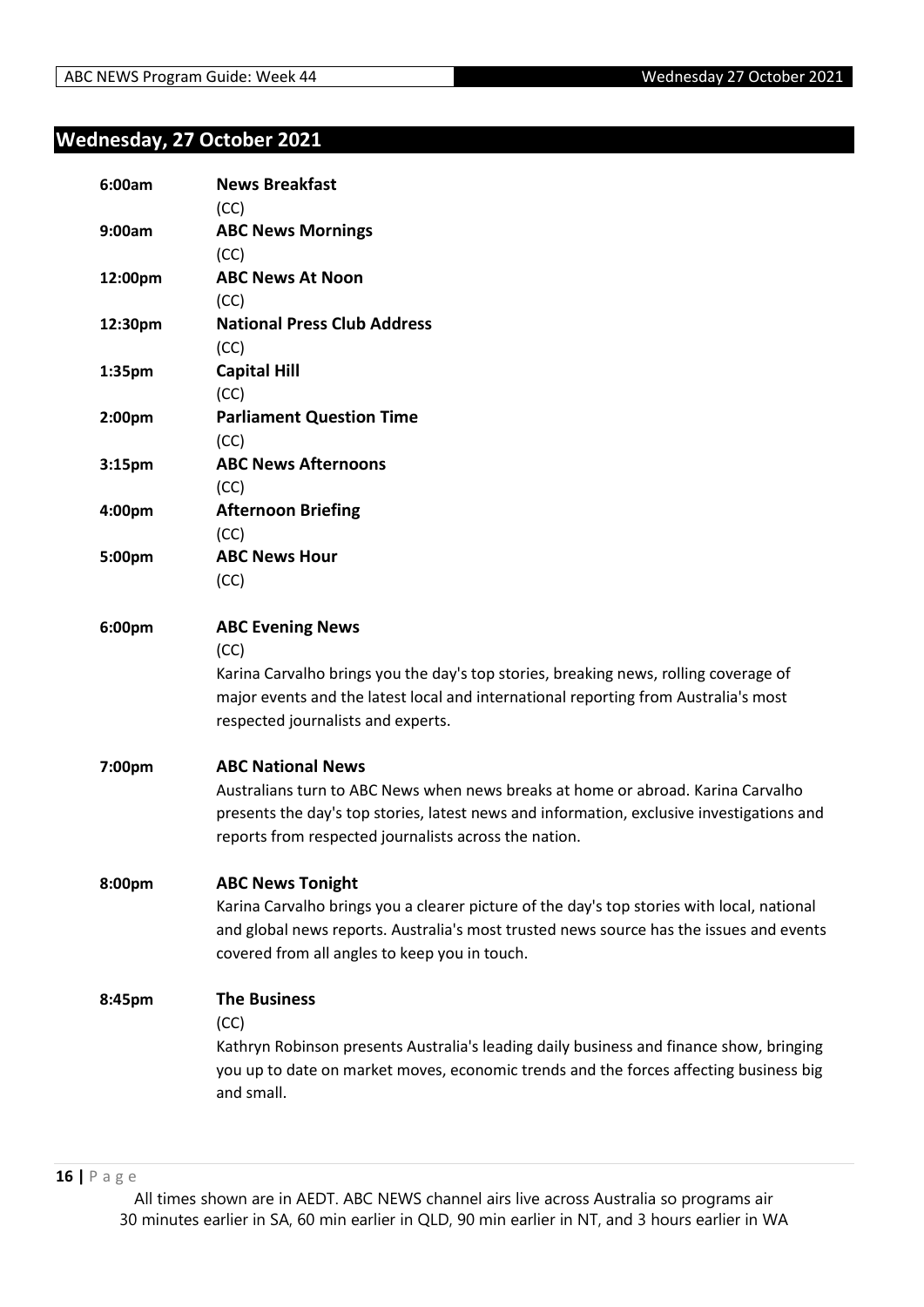## <span id="page-15-0"></span>**Wednesday, 27 October 2021**

| 6:00am             | <b>News Breakfast</b>                                                                      |
|--------------------|--------------------------------------------------------------------------------------------|
|                    | (CC)                                                                                       |
| 9:00am             | <b>ABC News Mornings</b>                                                                   |
|                    | (CC)                                                                                       |
| 12:00pm            | <b>ABC News At Noon</b>                                                                    |
|                    | (CC)                                                                                       |
| 12:30pm            | <b>National Press Club Address</b>                                                         |
|                    | (CC)                                                                                       |
| 1:35pm             | <b>Capital Hill</b>                                                                        |
|                    | (CC)                                                                                       |
| 2:00pm             | <b>Parliament Question Time</b>                                                            |
|                    | (CC)                                                                                       |
| 3:15 <sub>pm</sub> | <b>ABC News Afternoons</b>                                                                 |
|                    | (CC)                                                                                       |
| 4:00pm             | <b>Afternoon Briefing</b>                                                                  |
|                    | (CC)                                                                                       |
| 5:00pm             | <b>ABC News Hour</b>                                                                       |
|                    | (CC)                                                                                       |
| 6:00pm             | <b>ABC Evening News</b>                                                                    |
|                    | (CC)                                                                                       |
|                    | Karina Carvalho brings you the day's top stories, breaking news, rolling coverage of       |
|                    | major events and the latest local and international reporting from Australia's most        |
|                    | respected journalists and experts.                                                         |
| 7:00pm             | <b>ABC National News</b>                                                                   |
|                    | Australians turn to ABC News when news breaks at home or abroad. Karina Carvalho           |
|                    | presents the day's top stories, latest news and information, exclusive investigations and  |
|                    | reports from respected journalists across the nation.                                      |
| 8:00pm             | <b>ABC News Tonight</b>                                                                    |
|                    | Karina Carvalho brings you a clearer picture of the day's top stories with local, national |
|                    | and global news reports. Australia's most trusted news source has the issues and events    |
|                    | covered from all angles to keep you in touch.                                              |
| 8:45pm             | <b>The Business</b>                                                                        |
|                    | (CC)                                                                                       |
|                    | Kathryn Robinson presents Australia's leading daily business and finance show, bringing    |
|                    | you up to date on market moves, economic trends and the forces affecting business big      |
|                    | and small.                                                                                 |
|                    |                                                                                            |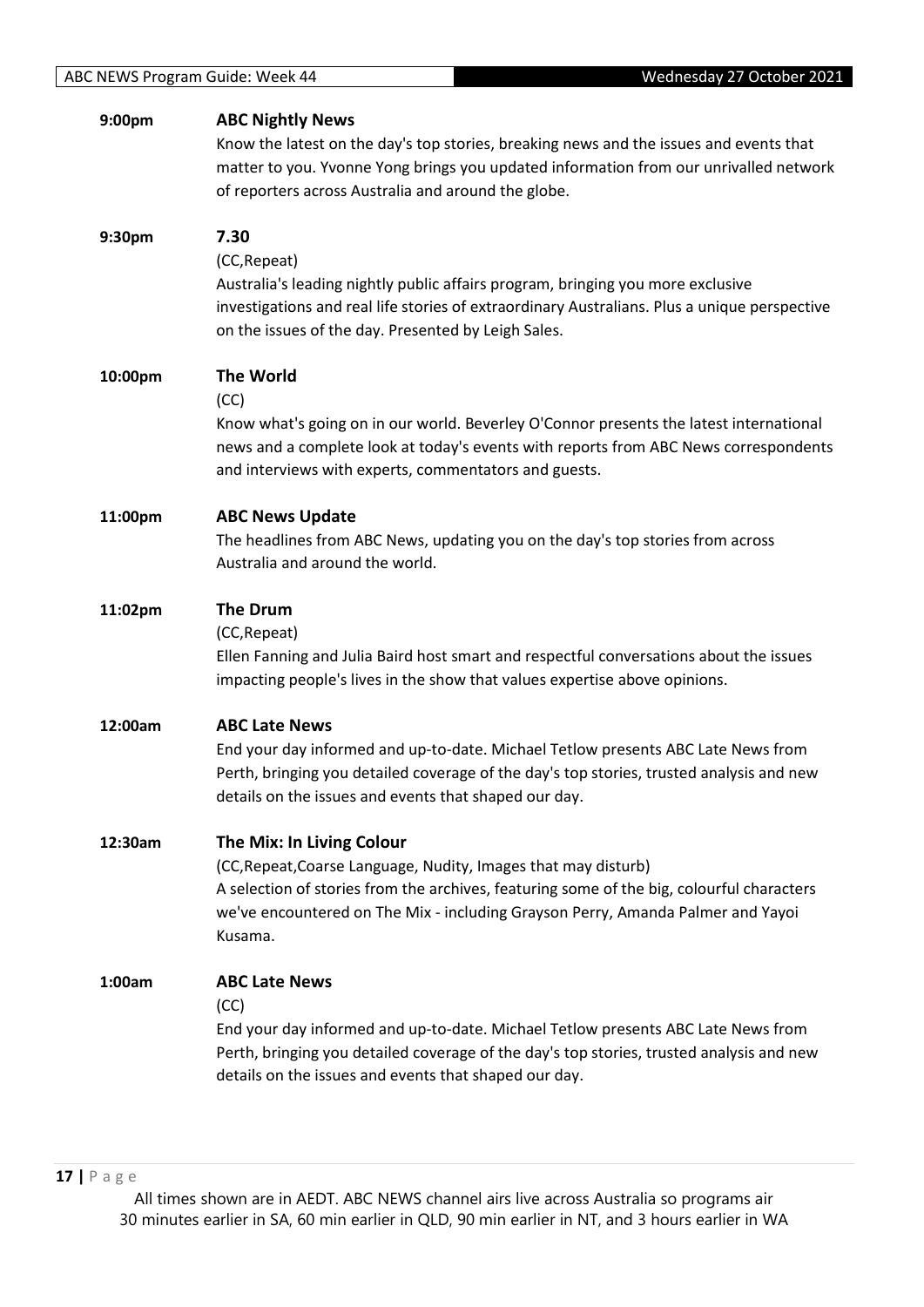| 9:00pm  | <b>ABC Nightly News</b><br>Know the latest on the day's top stories, breaking news and the issues and events that<br>matter to you. Yvonne Yong brings you updated information from our unrivalled network<br>of reporters across Australia and around the globe.                      |
|---------|----------------------------------------------------------------------------------------------------------------------------------------------------------------------------------------------------------------------------------------------------------------------------------------|
| 9:30pm  | 7.30<br>(CC, Repeat)<br>Australia's leading nightly public affairs program, bringing you more exclusive<br>investigations and real life stories of extraordinary Australians. Plus a unique perspective<br>on the issues of the day. Presented by Leigh Sales.                         |
| 10:00pm | <b>The World</b><br>(CC)<br>Know what's going on in our world. Beverley O'Connor presents the latest international<br>news and a complete look at today's events with reports from ABC News correspondents<br>and interviews with experts, commentators and guests.                    |
| 11:00pm | <b>ABC News Update</b><br>The headlines from ABC News, updating you on the day's top stories from across<br>Australia and around the world.                                                                                                                                            |
| 11:02pm | <b>The Drum</b><br>(CC, Repeat)<br>Ellen Fanning and Julia Baird host smart and respectful conversations about the issues<br>impacting people's lives in the show that values expertise above opinions.                                                                                |
| 12:00am | <b>ABC Late News</b><br>End your day informed and up-to-date. Michael Tetlow presents ABC Late News from<br>Perth, bringing you detailed coverage of the day's top stories, trusted analysis and new<br>details on the issues and events that shaped our day.                          |
| 12:30am | The Mix: In Living Colour<br>(CC, Repeat, Coarse Language, Nudity, Images that may disturb)<br>A selection of stories from the archives, featuring some of the big, colourful characters<br>we've encountered on The Mix - including Grayson Perry, Amanda Palmer and Yayoi<br>Kusama. |
| 1:00am  | <b>ABC Late News</b><br>(CC)<br>End your day informed and up-to-date. Michael Tetlow presents ABC Late News from<br>Perth, bringing you detailed coverage of the day's top stories, trusted analysis and new<br>details on the issues and events that shaped our day.                  |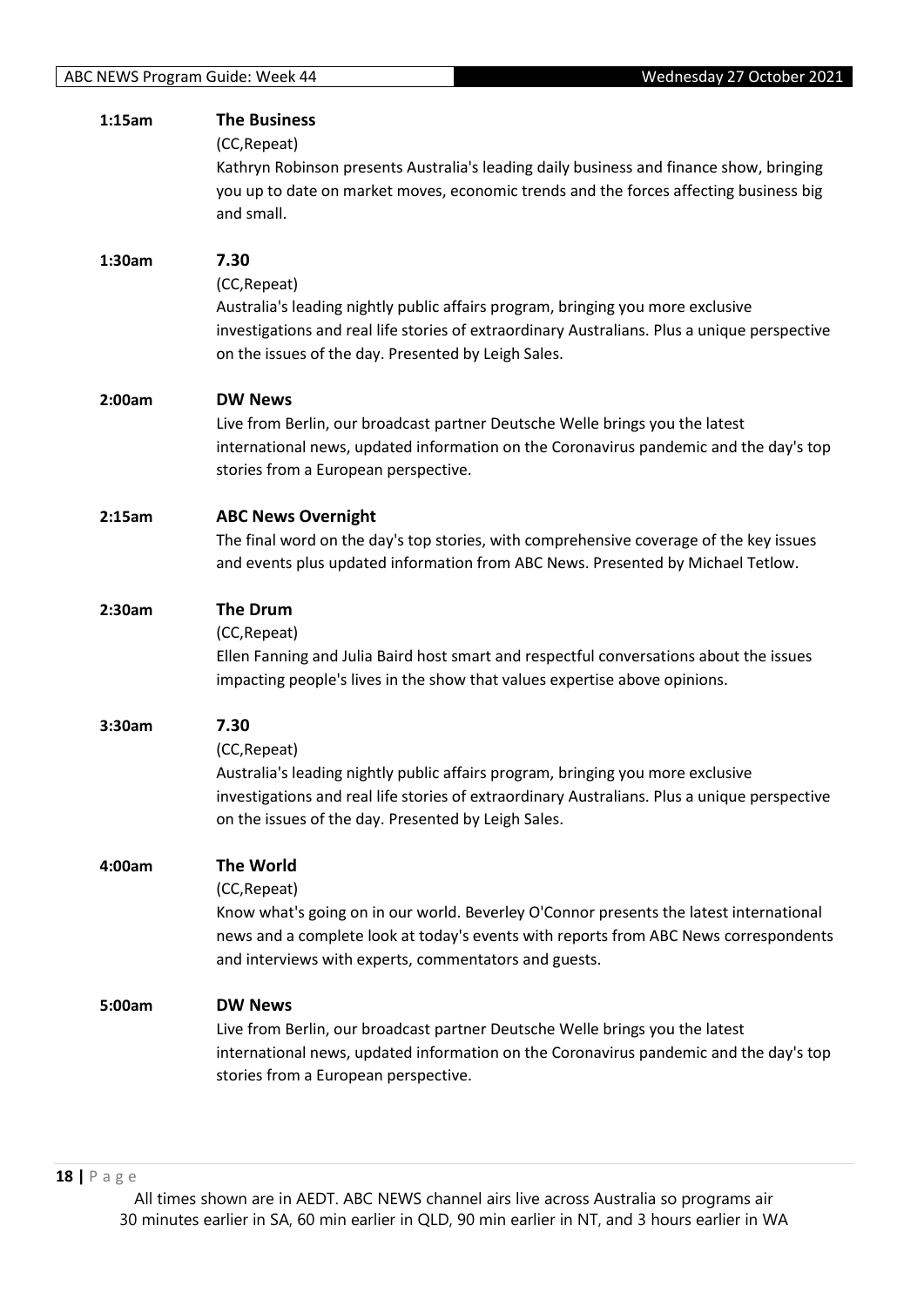| 1:15am | <b>The Business</b><br>(CC, Repeat)<br>Kathryn Robinson presents Australia's leading daily business and finance show, bringing<br>you up to date on market moves, economic trends and the forces affecting business big<br>and small.                                       |
|--------|-----------------------------------------------------------------------------------------------------------------------------------------------------------------------------------------------------------------------------------------------------------------------------|
| 1:30am | 7.30<br>(CC, Repeat)<br>Australia's leading nightly public affairs program, bringing you more exclusive<br>investigations and real life stories of extraordinary Australians. Plus a unique perspective<br>on the issues of the day. Presented by Leigh Sales.              |
| 2:00am | <b>DW News</b><br>Live from Berlin, our broadcast partner Deutsche Welle brings you the latest<br>international news, updated information on the Coronavirus pandemic and the day's top<br>stories from a European perspective.                                             |
| 2:15am | <b>ABC News Overnight</b><br>The final word on the day's top stories, with comprehensive coverage of the key issues<br>and events plus updated information from ABC News. Presented by Michael Tetlow.                                                                      |
| 2:30am | <b>The Drum</b><br>(CC, Repeat)<br>Ellen Fanning and Julia Baird host smart and respectful conversations about the issues<br>impacting people's lives in the show that values expertise above opinions.                                                                     |
| 3:30am | 7.30<br>(CC, Repeat)<br>Australia's leading nightly public affairs program, bringing you more exclusive<br>investigations and real life stories of extraordinary Australians. Plus a unique perspective<br>on the issues of the day. Presented by Leigh Sales.              |
| 4:00am | <b>The World</b><br>(CC, Repeat)<br>Know what's going on in our world. Beverley O'Connor presents the latest international<br>news and a complete look at today's events with reports from ABC News correspondents<br>and interviews with experts, commentators and guests. |
| 5:00am | <b>DW News</b><br>Live from Berlin, our broadcast partner Deutsche Welle brings you the latest<br>international news, updated information on the Coronavirus pandemic and the day's top<br>stories from a European perspective.                                             |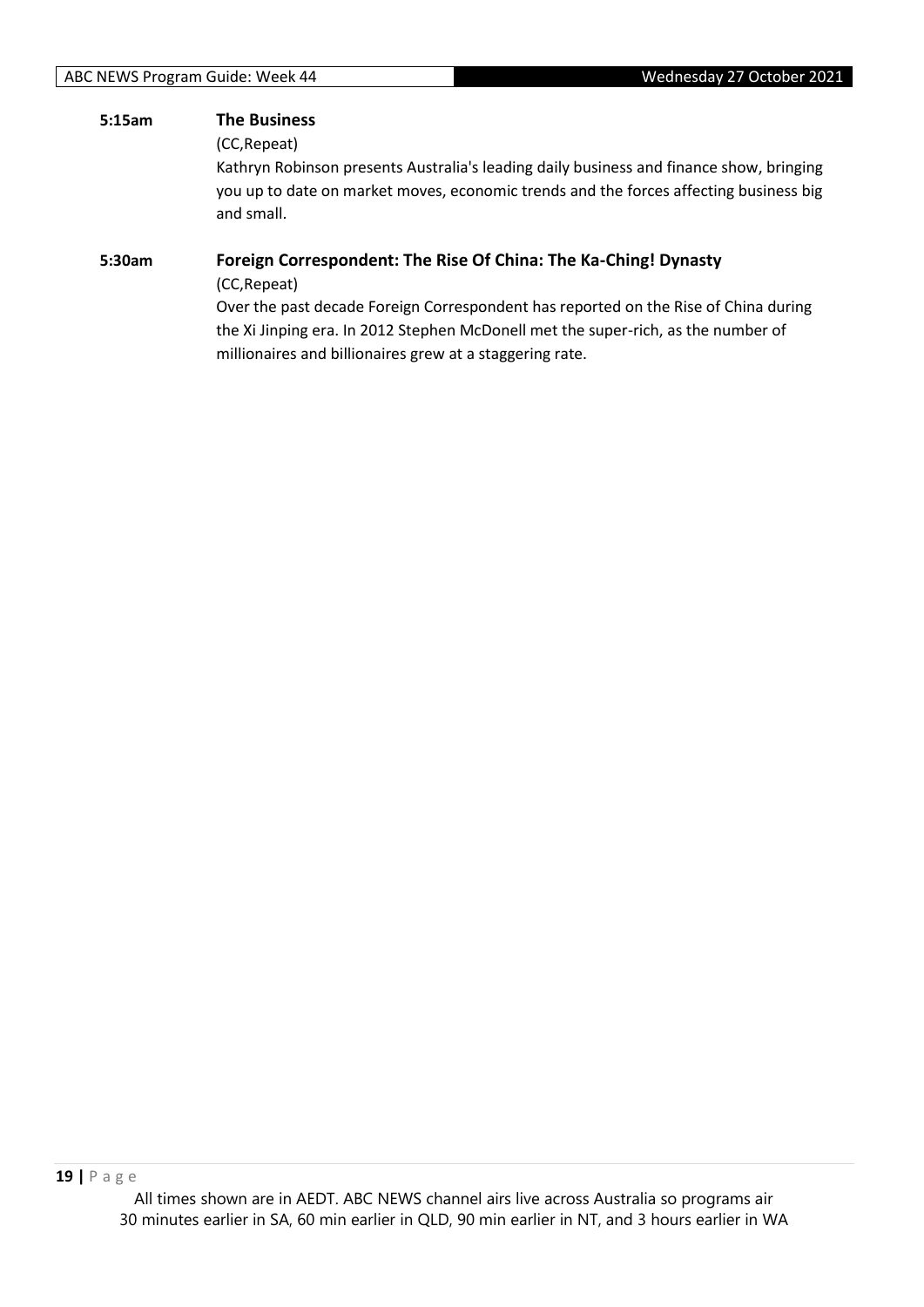# **5:15am The Business** (CC,Repeat) Kathryn Robinson presents Australia's leading daily business and finance show, bringing you up to date on market moves, economic trends and the forces affecting business big and small.

## **5:30am Foreign Correspondent: The Rise Of China: The Ka-Ching! Dynasty**

(CC,Repeat)

Over the past decade Foreign Correspondent has reported on the Rise of China during the Xi Jinping era. In 2012 Stephen McDonell met the super-rich, as the number of millionaires and billionaires grew at a staggering rate.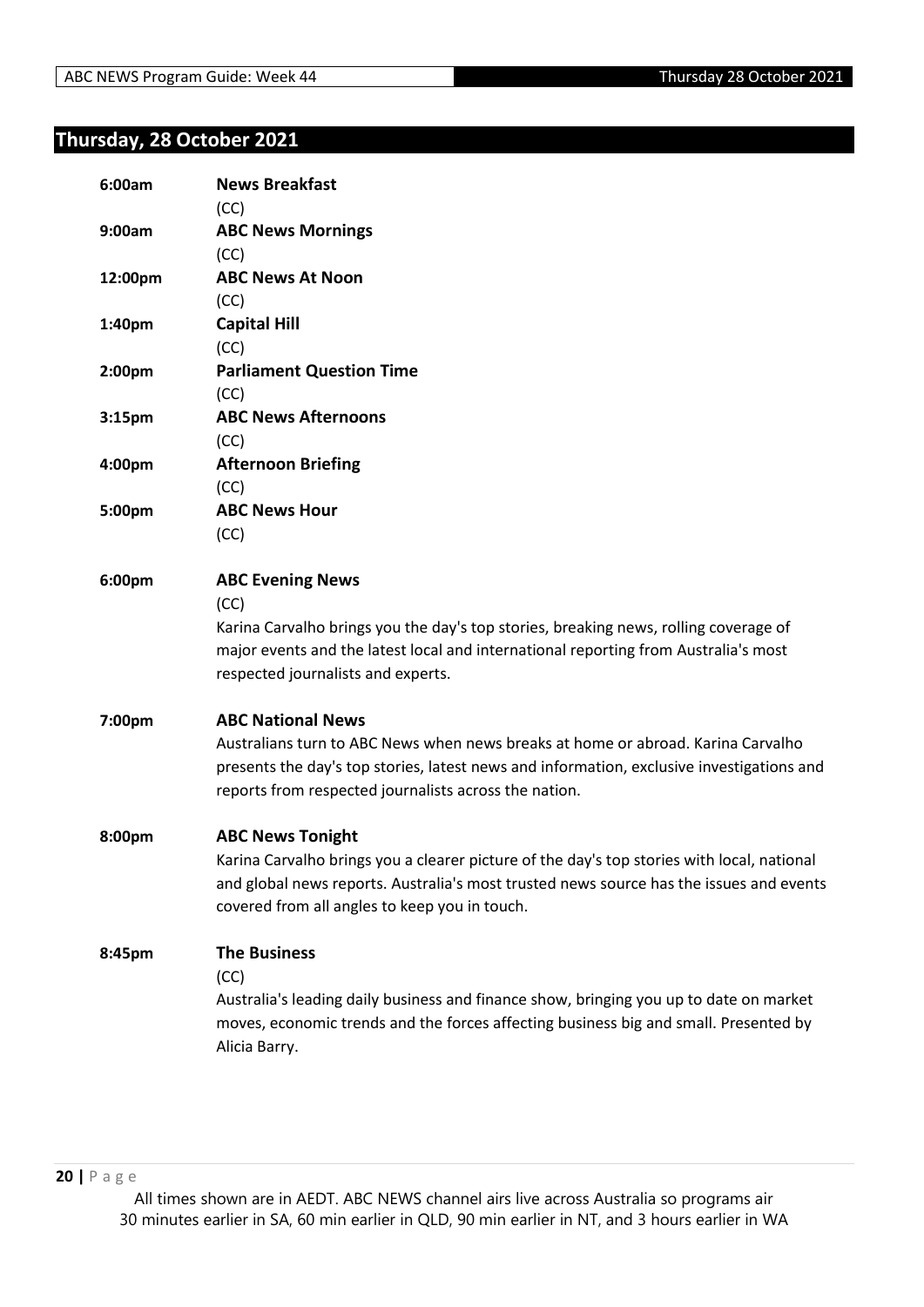## <span id="page-19-0"></span>**Thursday, 28 October 2021**

| 6:00am             | <b>News Breakfast</b>                                                                      |
|--------------------|--------------------------------------------------------------------------------------------|
|                    | (CC)                                                                                       |
| 9:00am             | <b>ABC News Mornings</b>                                                                   |
|                    | (CC)                                                                                       |
| 12:00pm            | <b>ABC News At Noon</b>                                                                    |
|                    | (CC)                                                                                       |
| 1:40pm             | <b>Capital Hill</b>                                                                        |
|                    | (CC)                                                                                       |
| 2:00pm             | <b>Parliament Question Time</b>                                                            |
|                    | (CC)                                                                                       |
| 3:15 <sub>pm</sub> | <b>ABC News Afternoons</b>                                                                 |
|                    | (CC)                                                                                       |
| 4:00pm             | <b>Afternoon Briefing</b>                                                                  |
|                    | (CC)                                                                                       |
| 5:00pm             | <b>ABC News Hour</b>                                                                       |
|                    | (CC)                                                                                       |
| 6:00pm             | <b>ABC Evening News</b>                                                                    |
|                    | (CC)                                                                                       |
|                    | Karina Carvalho brings you the day's top stories, breaking news, rolling coverage of       |
|                    | major events and the latest local and international reporting from Australia's most        |
|                    | respected journalists and experts.                                                         |
| 7:00pm             | <b>ABC National News</b>                                                                   |
|                    | Australians turn to ABC News when news breaks at home or abroad. Karina Carvalho           |
|                    | presents the day's top stories, latest news and information, exclusive investigations and  |
|                    | reports from respected journalists across the nation.                                      |
| 8:00pm             | <b>ABC News Tonight</b>                                                                    |
|                    | Karina Carvalho brings you a clearer picture of the day's top stories with local, national |
|                    | and global news reports. Australia's most trusted news source has the issues and events    |
|                    | covered from all angles to keep you in touch.                                              |
| 8:45pm             | <b>The Business</b>                                                                        |
|                    | (CC)                                                                                       |
|                    | Australia's leading daily business and finance show, bringing you up to date on market     |
|                    | moves, economic trends and the forces affecting business big and small. Presented by       |
|                    | Alicia Barry.                                                                              |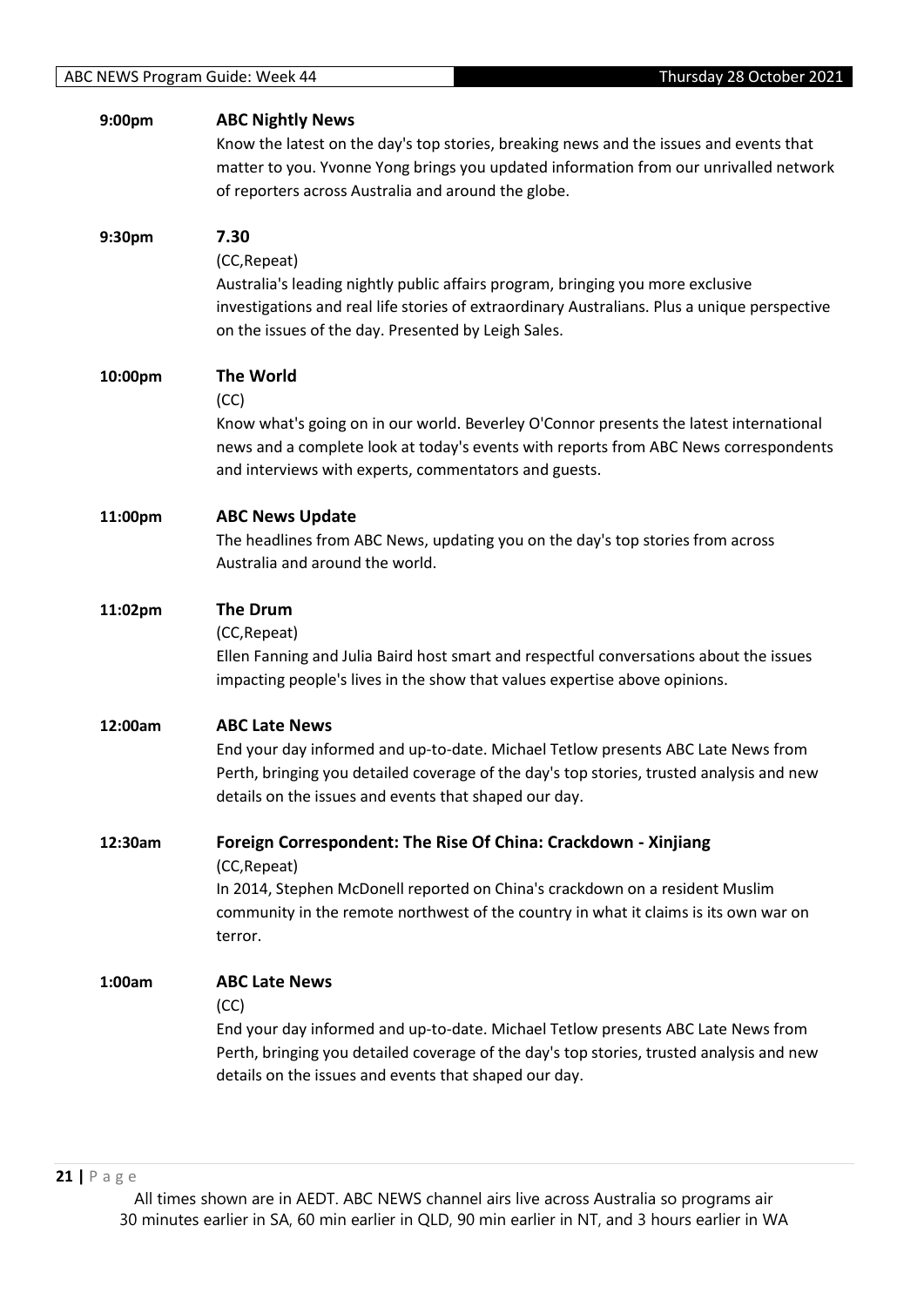| 9:00pm  | <b>ABC Nightly News</b><br>Know the latest on the day's top stories, breaking news and the issues and events that<br>matter to you. Yvonne Yong brings you updated information from our unrivalled network<br>of reporters across Australia and around the globe.     |
|---------|-----------------------------------------------------------------------------------------------------------------------------------------------------------------------------------------------------------------------------------------------------------------------|
| 9:30pm  | 7.30<br>(CC, Repeat)<br>Australia's leading nightly public affairs program, bringing you more exclusive<br>investigations and real life stories of extraordinary Australians. Plus a unique perspective<br>on the issues of the day. Presented by Leigh Sales.        |
| 10:00pm | <b>The World</b><br>(CC)<br>Know what's going on in our world. Beverley O'Connor presents the latest international<br>news and a complete look at today's events with reports from ABC News correspondents<br>and interviews with experts, commentators and guests.   |
| 11:00pm | <b>ABC News Update</b><br>The headlines from ABC News, updating you on the day's top stories from across<br>Australia and around the world.                                                                                                                           |
| 11:02pm | <b>The Drum</b><br>(CC, Repeat)<br>Ellen Fanning and Julia Baird host smart and respectful conversations about the issues<br>impacting people's lives in the show that values expertise above opinions.                                                               |
| 12:00am | <b>ABC Late News</b><br>End your day informed and up-to-date. Michael Tetlow presents ABC Late News from<br>Perth, bringing you detailed coverage of the day's top stories, trusted analysis and new<br>details on the issues and events that shaped our day.         |
| 12:30am | Foreign Correspondent: The Rise Of China: Crackdown - Xinjiang<br>(CC, Repeat)<br>In 2014, Stephen McDonell reported on China's crackdown on a resident Muslim<br>community in the remote northwest of the country in what it claims is its own war on<br>terror.     |
| 1:00am  | <b>ABC Late News</b><br>(CC)<br>End your day informed and up-to-date. Michael Tetlow presents ABC Late News from<br>Perth, bringing you detailed coverage of the day's top stories, trusted analysis and new<br>details on the issues and events that shaped our day. |
|         |                                                                                                                                                                                                                                                                       |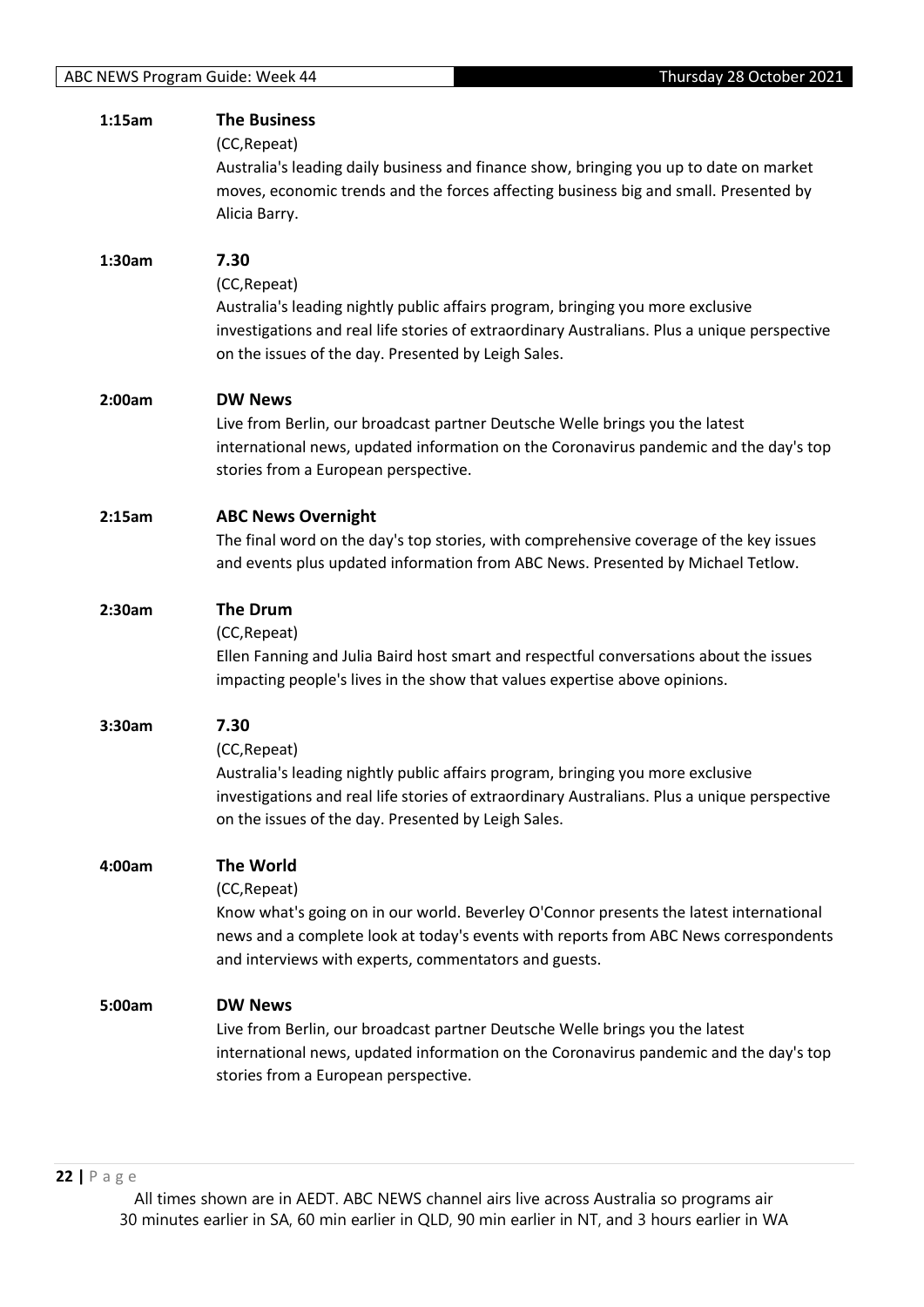| 1:15am | <b>The Business</b><br>(CC, Repeat)<br>Australia's leading daily business and finance show, bringing you up to date on market<br>moves, economic trends and the forces affecting business big and small. Presented by<br>Alicia Barry.                                      |
|--------|-----------------------------------------------------------------------------------------------------------------------------------------------------------------------------------------------------------------------------------------------------------------------------|
| 1:30am | 7.30<br>(CC, Repeat)<br>Australia's leading nightly public affairs program, bringing you more exclusive<br>investigations and real life stories of extraordinary Australians. Plus a unique perspective<br>on the issues of the day. Presented by Leigh Sales.              |
| 2:00am | <b>DW News</b><br>Live from Berlin, our broadcast partner Deutsche Welle brings you the latest<br>international news, updated information on the Coronavirus pandemic and the day's top<br>stories from a European perspective.                                             |
| 2:15am | <b>ABC News Overnight</b><br>The final word on the day's top stories, with comprehensive coverage of the key issues<br>and events plus updated information from ABC News. Presented by Michael Tetlow.                                                                      |
| 2:30am | The Drum<br>(CC, Repeat)<br>Ellen Fanning and Julia Baird host smart and respectful conversations about the issues<br>impacting people's lives in the show that values expertise above opinions.                                                                            |
| 3:30am | 7.30<br>(CC, Repeat)<br>Australia's leading nightly public affairs program, bringing you more exclusive<br>investigations and real life stories of extraordinary Australians. Plus a unique perspective<br>on the issues of the day. Presented by Leigh Sales.              |
| 4:00am | <b>The World</b><br>(CC, Repeat)<br>Know what's going on in our world. Beverley O'Connor presents the latest international<br>news and a complete look at today's events with reports from ABC News correspondents<br>and interviews with experts, commentators and guests. |
| 5:00am | <b>DW News</b><br>Live from Berlin, our broadcast partner Deutsche Welle brings you the latest<br>international news, updated information on the Coronavirus pandemic and the day's top<br>stories from a European perspective.                                             |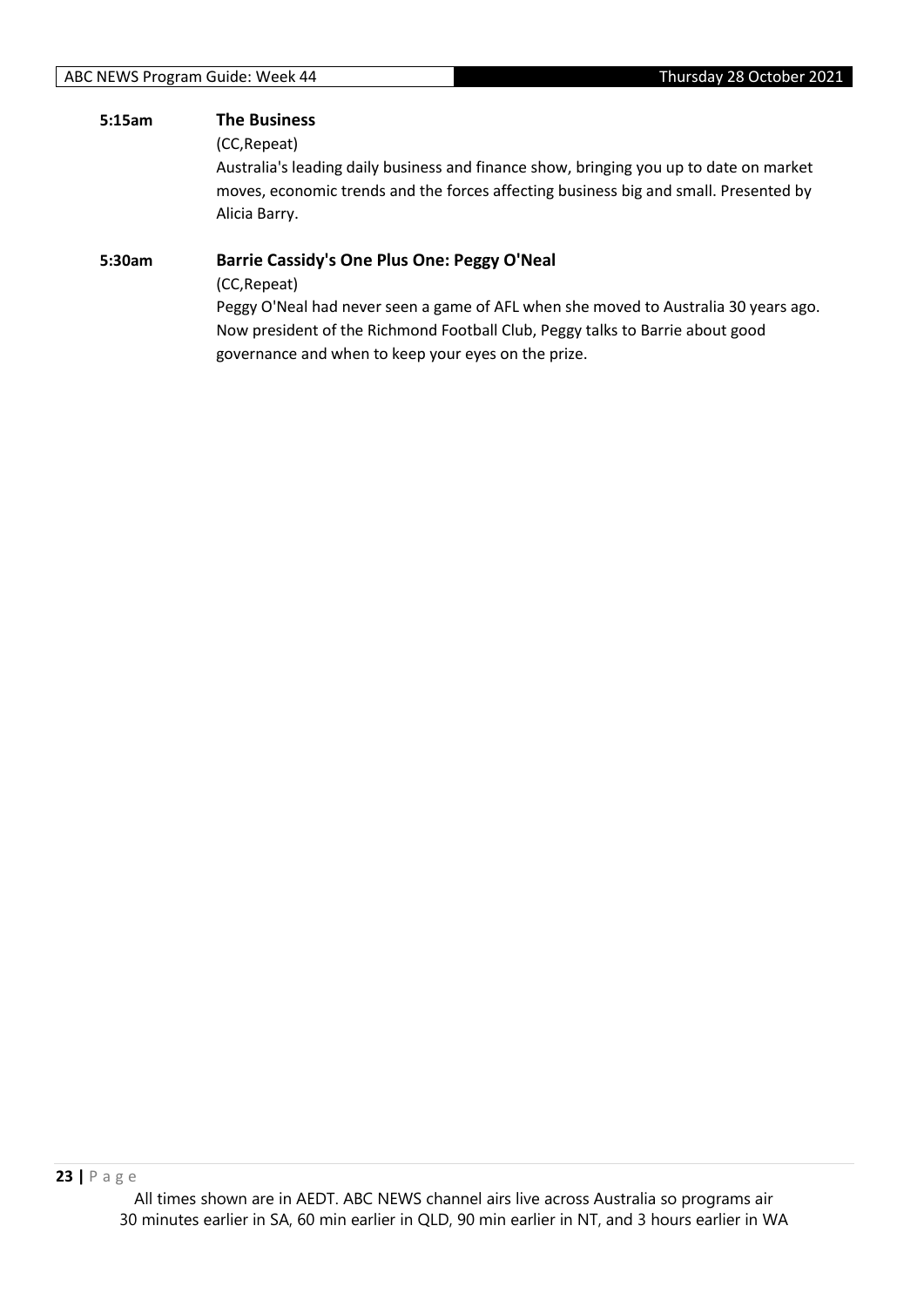## **5:15am The Business**

(CC,Repeat)

Australia's leading daily business and finance show, bringing you up to date on market moves, economic trends and the forces affecting business big and small. Presented by Alicia Barry.

#### **5:30am Barrie Cassidy's One Plus One: Peggy O'Neal**

(CC,Repeat)

Peggy O'Neal had never seen a game of AFL when she moved to Australia 30 years ago. Now president of the Richmond Football Club, Peggy talks to Barrie about good governance and when to keep your eyes on the prize.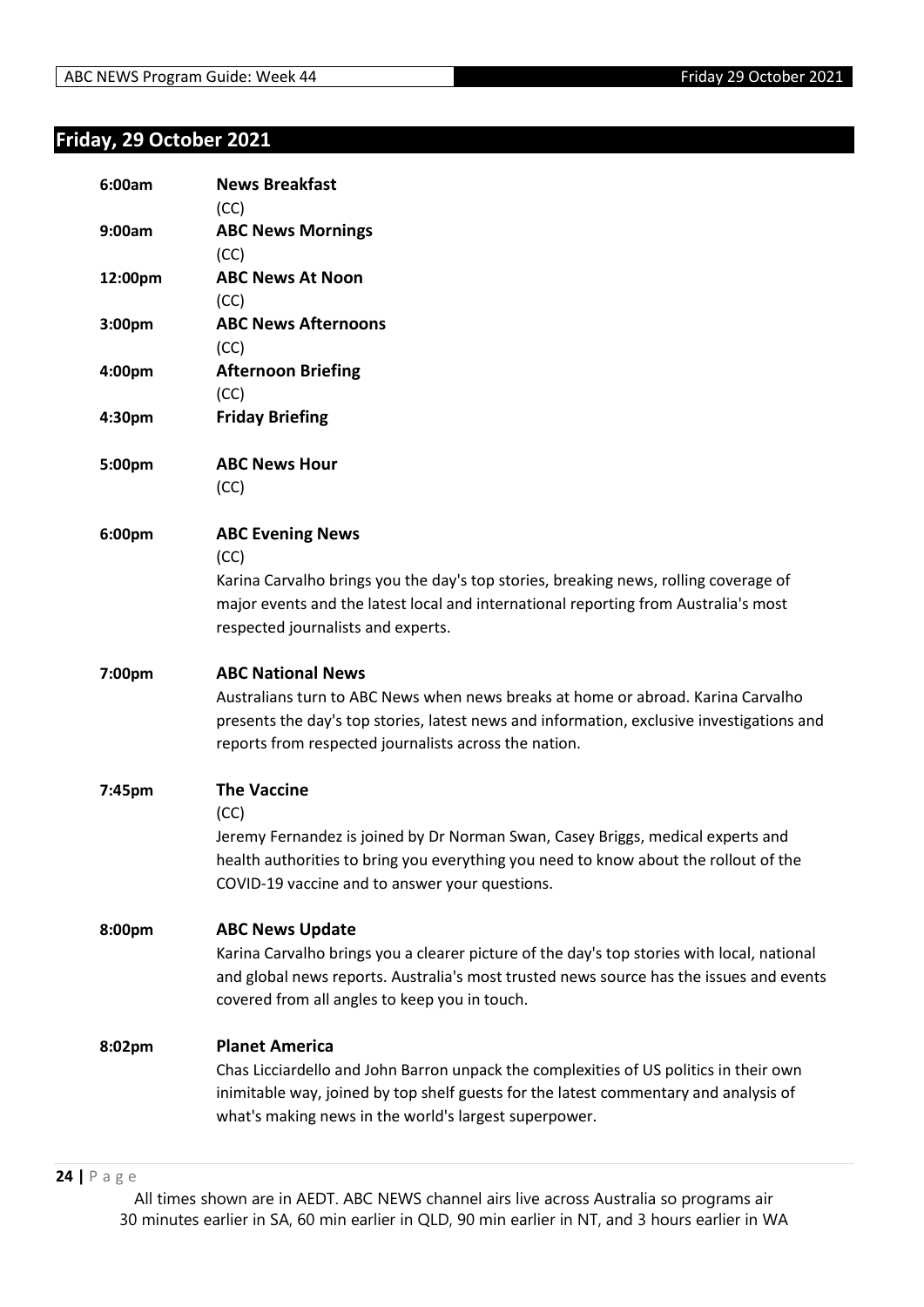# <span id="page-23-0"></span>**Friday, 29 October 2021**

| 6:00am  | <b>News Breakfast</b><br>(CC)                                                                                                                                                                                                                                    |
|---------|------------------------------------------------------------------------------------------------------------------------------------------------------------------------------------------------------------------------------------------------------------------|
| 9:00am  | <b>ABC News Mornings</b><br>(CC)                                                                                                                                                                                                                                 |
| 12:00pm | <b>ABC News At Noon</b><br>(CC)                                                                                                                                                                                                                                  |
| 3:00pm  | <b>ABC News Afternoons</b><br>(CC)                                                                                                                                                                                                                               |
| 4:00pm  | <b>Afternoon Briefing</b><br>(CC)                                                                                                                                                                                                                                |
| 4:30pm  | <b>Friday Briefing</b>                                                                                                                                                                                                                                           |
| 5:00pm  | <b>ABC News Hour</b><br>(CC)                                                                                                                                                                                                                                     |
| 6:00pm  | <b>ABC Evening News</b><br>(CC)<br>Karina Carvalho brings you the day's top stories, breaking news, rolling coverage of<br>major events and the latest local and international reporting from Australia's most<br>respected journalists and experts.             |
| 7:00pm  | <b>ABC National News</b>                                                                                                                                                                                                                                         |
|         | Australians turn to ABC News when news breaks at home or abroad. Karina Carvalho<br>presents the day's top stories, latest news and information, exclusive investigations and<br>reports from respected journalists across the nation.                           |
| 7:45pm  | <b>The Vaccine</b><br>(CC)<br>Jeremy Fernandez is joined by Dr Norman Swan, Casey Briggs, medical experts and<br>health authorities to bring you everything you need to know about the rollout of the<br>COVID-19 vaccine and to answer your questions.          |
| 8:00pm  | <b>ABC News Update</b><br>Karina Carvalho brings you a clearer picture of the day's top stories with local, national<br>and global news reports. Australia's most trusted news source has the issues and events<br>covered from all angles to keep you in touch. |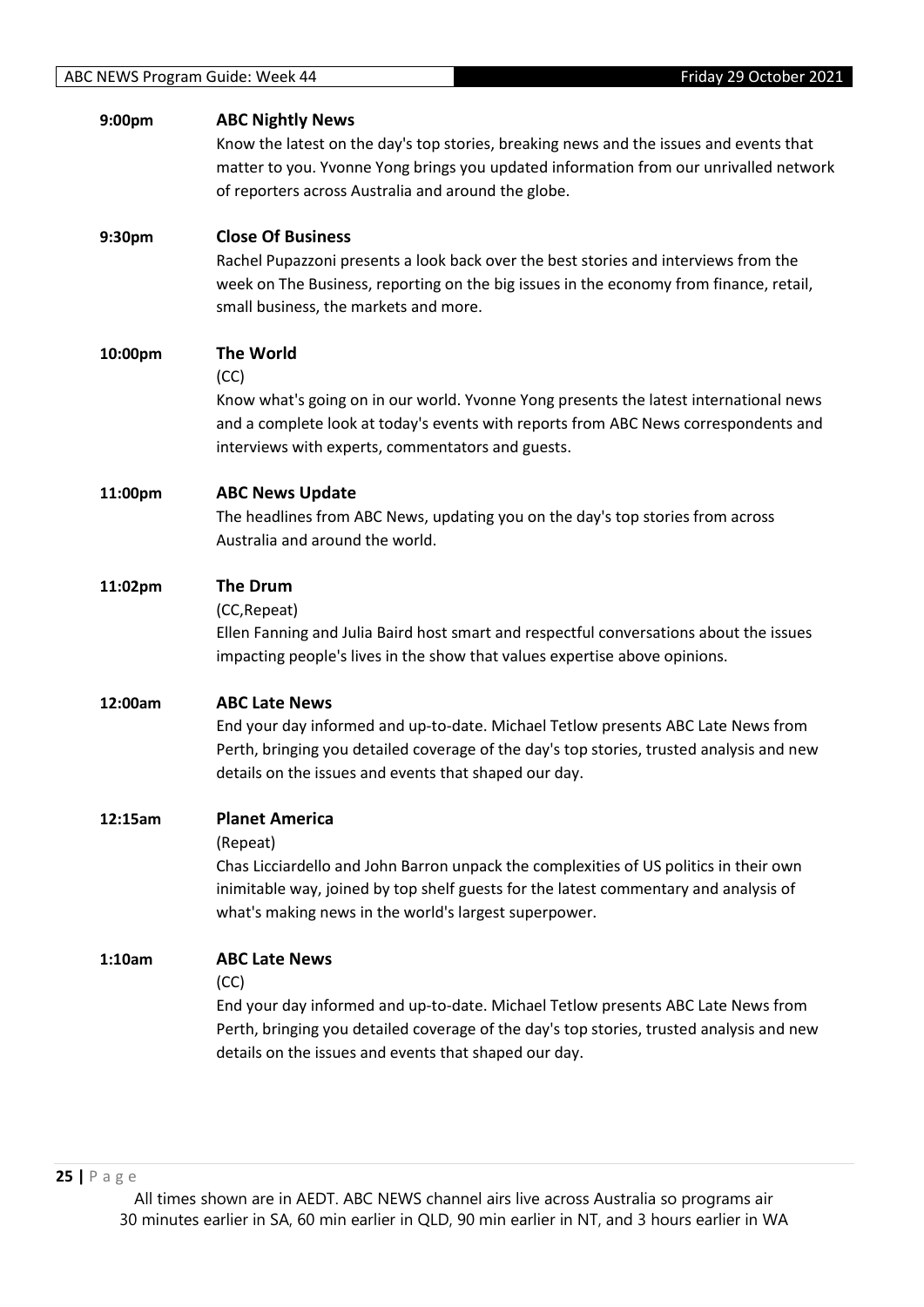| 9:00pm  | <b>ABC Nightly News</b><br>Know the latest on the day's top stories, breaking news and the issues and events that<br>matter to you. Yvonne Yong brings you updated information from our unrivalled network<br>of reporters across Australia and around the globe.           |
|---------|-----------------------------------------------------------------------------------------------------------------------------------------------------------------------------------------------------------------------------------------------------------------------------|
| 9:30pm  | <b>Close Of Business</b><br>Rachel Pupazzoni presents a look back over the best stories and interviews from the<br>week on The Business, reporting on the big issues in the economy from finance, retail,<br>small business, the markets and more.                          |
| 10:00pm | <b>The World</b><br>(CC)<br>Know what's going on in our world. Yvonne Yong presents the latest international news<br>and a complete look at today's events with reports from ABC News correspondents and<br>interviews with experts, commentators and guests.               |
| 11:00pm | <b>ABC News Update</b><br>The headlines from ABC News, updating you on the day's top stories from across<br>Australia and around the world.                                                                                                                                 |
| 11:02pm | <b>The Drum</b><br>(CC, Repeat)<br>Ellen Fanning and Julia Baird host smart and respectful conversations about the issues<br>impacting people's lives in the show that values expertise above opinions.                                                                     |
| 12:00am | <b>ABC Late News</b><br>End your day informed and up-to-date. Michael Tetlow presents ABC Late News from<br>Perth, bringing you detailed coverage of the day's top stories, trusted analysis and new<br>details on the issues and events that shaped our day.               |
| 12:15am | <b>Planet America</b><br>(Repeat)<br>Chas Licciardello and John Barron unpack the complexities of US politics in their own<br>inimitable way, joined by top shelf guests for the latest commentary and analysis of<br>what's making news in the world's largest superpower. |
| 1:10am  | <b>ABC Late News</b><br>(CC)<br>End your day informed and up-to-date. Michael Tetlow presents ABC Late News from<br>Perth, bringing you detailed coverage of the day's top stories, trusted analysis and new<br>details on the issues and events that shaped our day.       |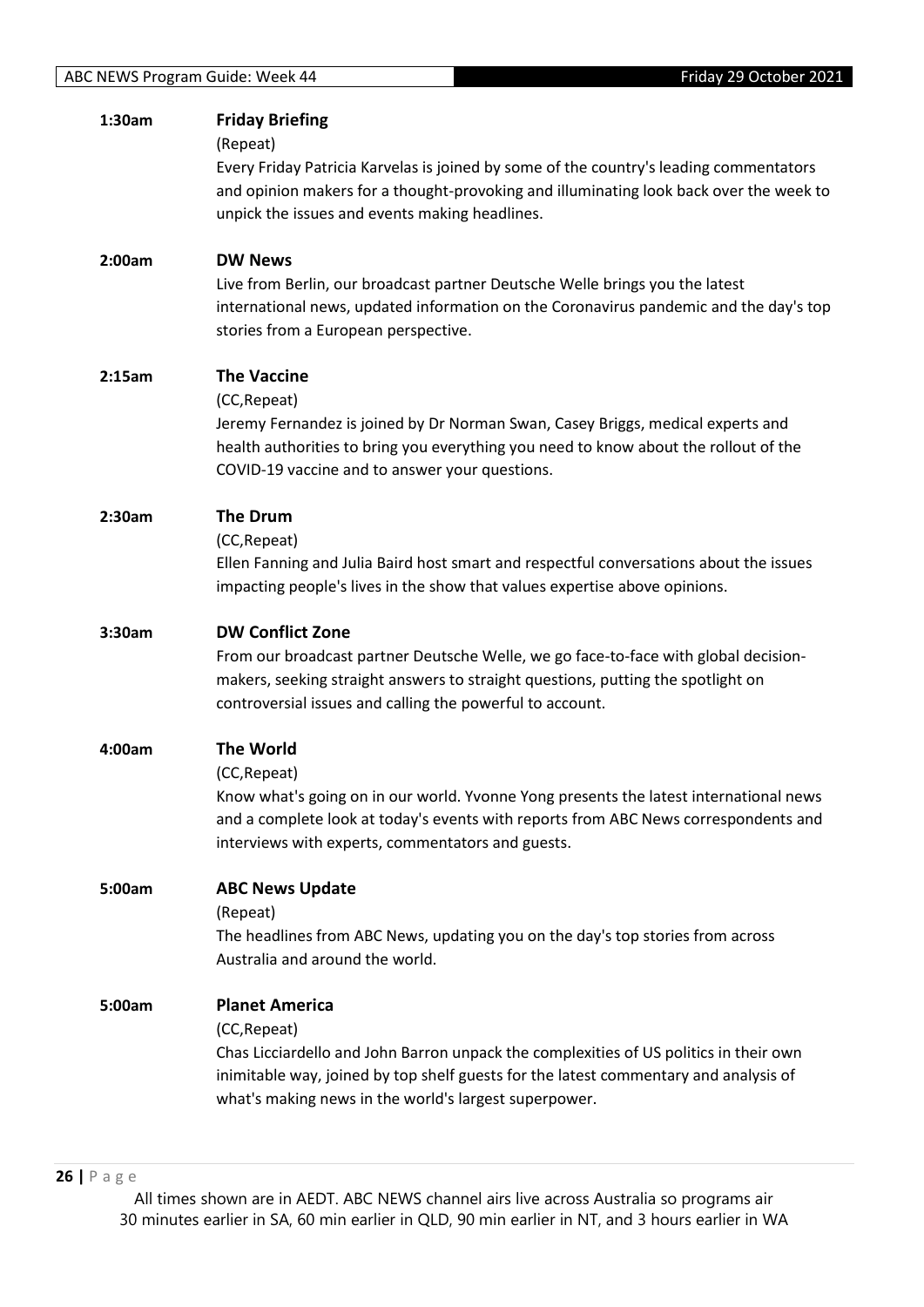| 1:30am | <b>Friday Briefing</b><br>(Repeat)<br>Every Friday Patricia Karvelas is joined by some of the country's leading commentators<br>and opinion makers for a thought-provoking and illuminating look back over the week to<br>unpick the issues and events making headlines.        |
|--------|---------------------------------------------------------------------------------------------------------------------------------------------------------------------------------------------------------------------------------------------------------------------------------|
| 2:00am | <b>DW News</b><br>Live from Berlin, our broadcast partner Deutsche Welle brings you the latest<br>international news, updated information on the Coronavirus pandemic and the day's top<br>stories from a European perspective.                                                 |
| 2:15am | <b>The Vaccine</b><br>(CC, Repeat)<br>Jeremy Fernandez is joined by Dr Norman Swan, Casey Briggs, medical experts and<br>health authorities to bring you everything you need to know about the rollout of the<br>COVID-19 vaccine and to answer your questions.                 |
| 2:30am | <b>The Drum</b><br>(CC, Repeat)<br>Ellen Fanning and Julia Baird host smart and respectful conversations about the issues<br>impacting people's lives in the show that values expertise above opinions.                                                                         |
| 3:30am | <b>DW Conflict Zone</b><br>From our broadcast partner Deutsche Welle, we go face-to-face with global decision-<br>makers, seeking straight answers to straight questions, putting the spotlight on<br>controversial issues and calling the powerful to account.                 |
| 4:00am | <b>The World</b><br>(CC, Repeat)<br>Know what's going on in our world. Yvonne Yong presents the latest international news<br>and a complete look at today's events with reports from ABC News correspondents and<br>interviews with experts, commentators and guests.           |
| 5:00am | <b>ABC News Update</b><br>(Repeat)<br>The headlines from ABC News, updating you on the day's top stories from across<br>Australia and around the world.                                                                                                                         |
| 5:00am | <b>Planet America</b><br>(CC, Repeat)<br>Chas Licciardello and John Barron unpack the complexities of US politics in their own<br>inimitable way, joined by top shelf guests for the latest commentary and analysis of<br>what's making news in the world's largest superpower. |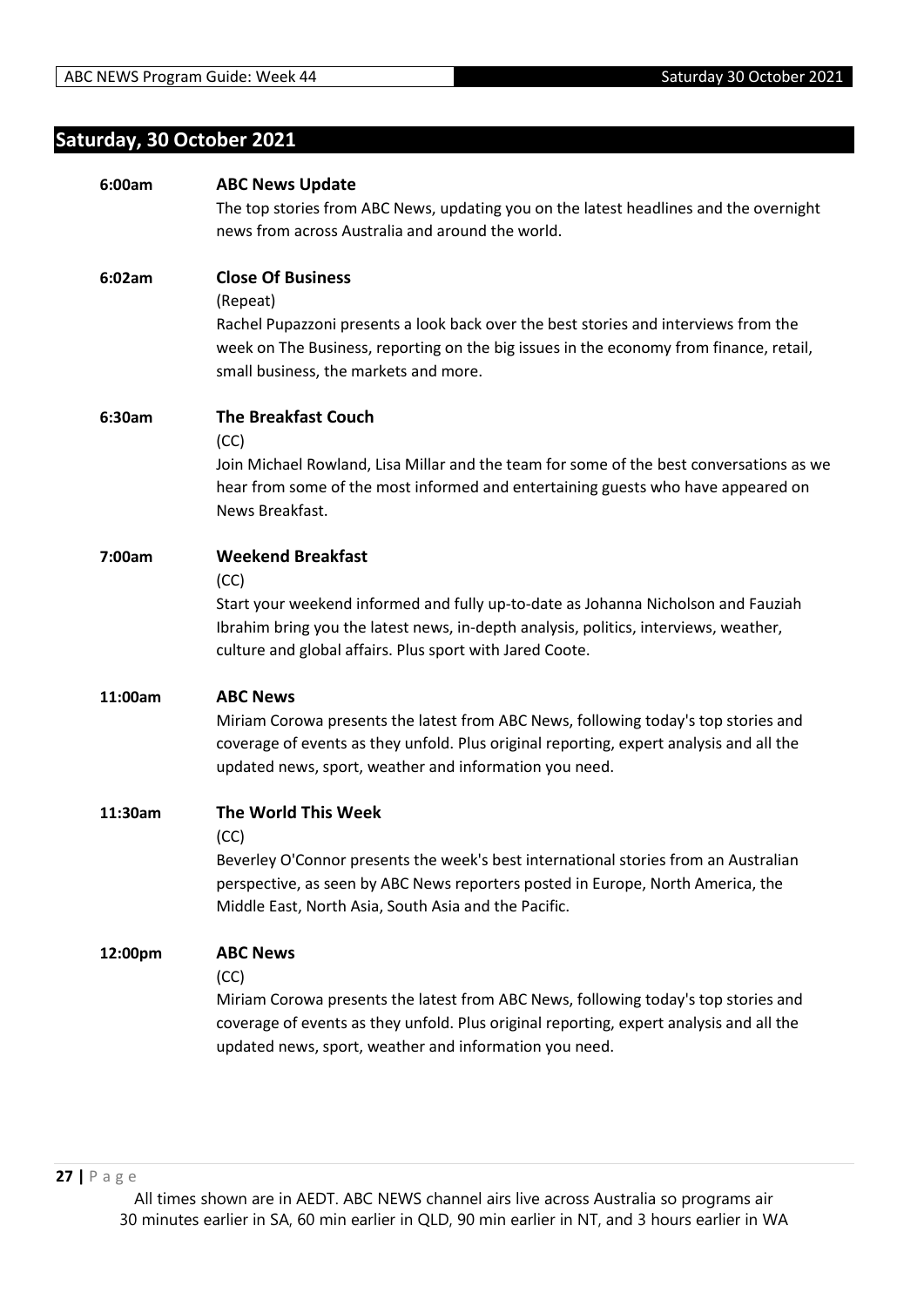# <span id="page-26-0"></span>**Saturday, 30 October 2021**

| 6:00am  | <b>ABC News Update</b>                                                                                                                                                                                                                  |
|---------|-----------------------------------------------------------------------------------------------------------------------------------------------------------------------------------------------------------------------------------------|
|         | The top stories from ABC News, updating you on the latest headlines and the overnight                                                                                                                                                   |
|         | news from across Australia and around the world.                                                                                                                                                                                        |
| 6:02am  | <b>Close Of Business</b>                                                                                                                                                                                                                |
|         | (Repeat)                                                                                                                                                                                                                                |
|         | Rachel Pupazzoni presents a look back over the best stories and interviews from the<br>week on The Business, reporting on the big issues in the economy from finance, retail,<br>small business, the markets and more.                  |
| 6:30am  | <b>The Breakfast Couch</b><br>(CC)                                                                                                                                                                                                      |
|         | Join Michael Rowland, Lisa Millar and the team for some of the best conversations as we<br>hear from some of the most informed and entertaining guests who have appeared on<br>News Breakfast.                                          |
| 7:00am  | <b>Weekend Breakfast</b>                                                                                                                                                                                                                |
|         | (CC)                                                                                                                                                                                                                                    |
|         | Start your weekend informed and fully up-to-date as Johanna Nicholson and Fauziah<br>Ibrahim bring you the latest news, in-depth analysis, politics, interviews, weather,                                                               |
|         | culture and global affairs. Plus sport with Jared Coote.                                                                                                                                                                                |
| 11:00am | <b>ABC News</b>                                                                                                                                                                                                                         |
|         | Miriam Corowa presents the latest from ABC News, following today's top stories and<br>coverage of events as they unfold. Plus original reporting, expert analysis and all the<br>updated news, sport, weather and information you need. |
| 11:30am | The World This Week                                                                                                                                                                                                                     |
|         | (CC)<br>Beverley O'Connor presents the week's best international stories from an Australian                                                                                                                                             |
|         | perspective, as seen by ABC News reporters posted in Europe, North America, the                                                                                                                                                         |
|         | Middle East, North Asia, South Asia and the Pacific.                                                                                                                                                                                    |
| 12:00pm | <b>ABC News</b>                                                                                                                                                                                                                         |
|         | (CC)                                                                                                                                                                                                                                    |
|         | Miriam Corowa presents the latest from ABC News, following today's top stories and<br>coverage of events as they unfold. Plus original reporting, expert analysis and all the<br>updated news, sport, weather and information you need. |
|         |                                                                                                                                                                                                                                         |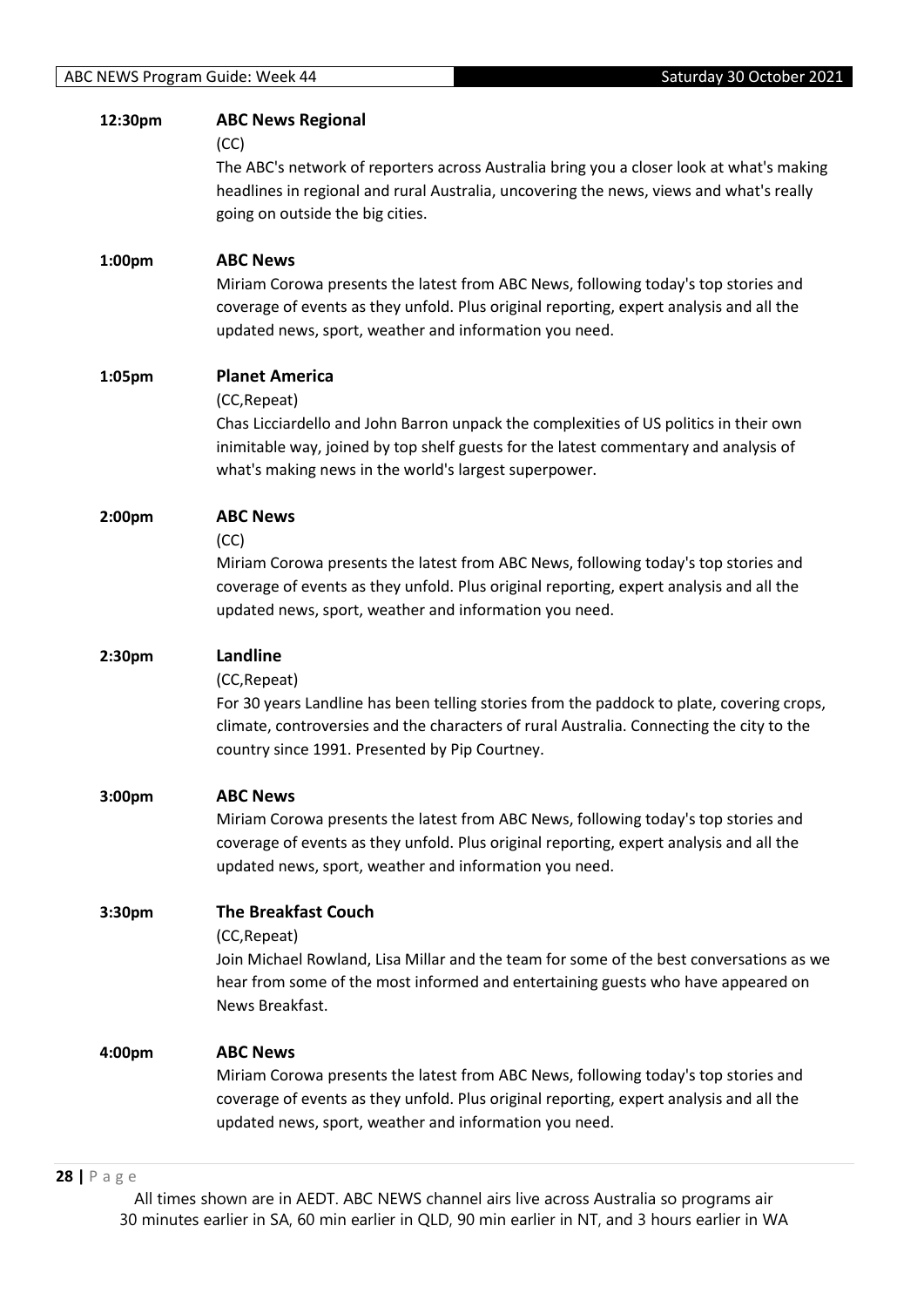| 12:30pm | <b>ABC News Regional</b><br>(CC)<br>The ABC's network of reporters across Australia bring you a closer look at what's making<br>headlines in regional and rural Australia, uncovering the news, views and what's really<br>going on outside the big cities.                     |
|---------|---------------------------------------------------------------------------------------------------------------------------------------------------------------------------------------------------------------------------------------------------------------------------------|
| 1:00pm  | <b>ABC News</b><br>Miriam Corowa presents the latest from ABC News, following today's top stories and<br>coverage of events as they unfold. Plus original reporting, expert analysis and all the<br>updated news, sport, weather and information you need.                      |
| 1:05pm  | <b>Planet America</b><br>(CC, Repeat)<br>Chas Licciardello and John Barron unpack the complexities of US politics in their own<br>inimitable way, joined by top shelf guests for the latest commentary and analysis of<br>what's making news in the world's largest superpower. |
| 2:00pm  | <b>ABC News</b><br>(CC)<br>Miriam Corowa presents the latest from ABC News, following today's top stories and<br>coverage of events as they unfold. Plus original reporting, expert analysis and all the<br>updated news, sport, weather and information you need.              |
| 2:30pm  | Landline<br>(CC, Repeat)<br>For 30 years Landline has been telling stories from the paddock to plate, covering crops,<br>climate, controversies and the characters of rural Australia. Connecting the city to the<br>country since 1991. Presented by Pip Courtney.             |
| 3:00pm  | <b>ABC News</b><br>Miriam Corowa presents the latest from ABC News, following today's top stories and<br>coverage of events as they unfold. Plus original reporting, expert analysis and all the<br>updated news, sport, weather and information you need.                      |
| 3:30pm  | <b>The Breakfast Couch</b><br>(CC, Repeat)<br>Join Michael Rowland, Lisa Millar and the team for some of the best conversations as we<br>hear from some of the most informed and entertaining guests who have appeared on<br>News Breakfast.                                    |
| 4:00pm  | <b>ABC News</b><br>Miriam Corowa presents the latest from ABC News, following today's top stories and<br>coverage of events as they unfold. Plus original reporting, expert analysis and all the<br>updated news, sport, weather and information you need.                      |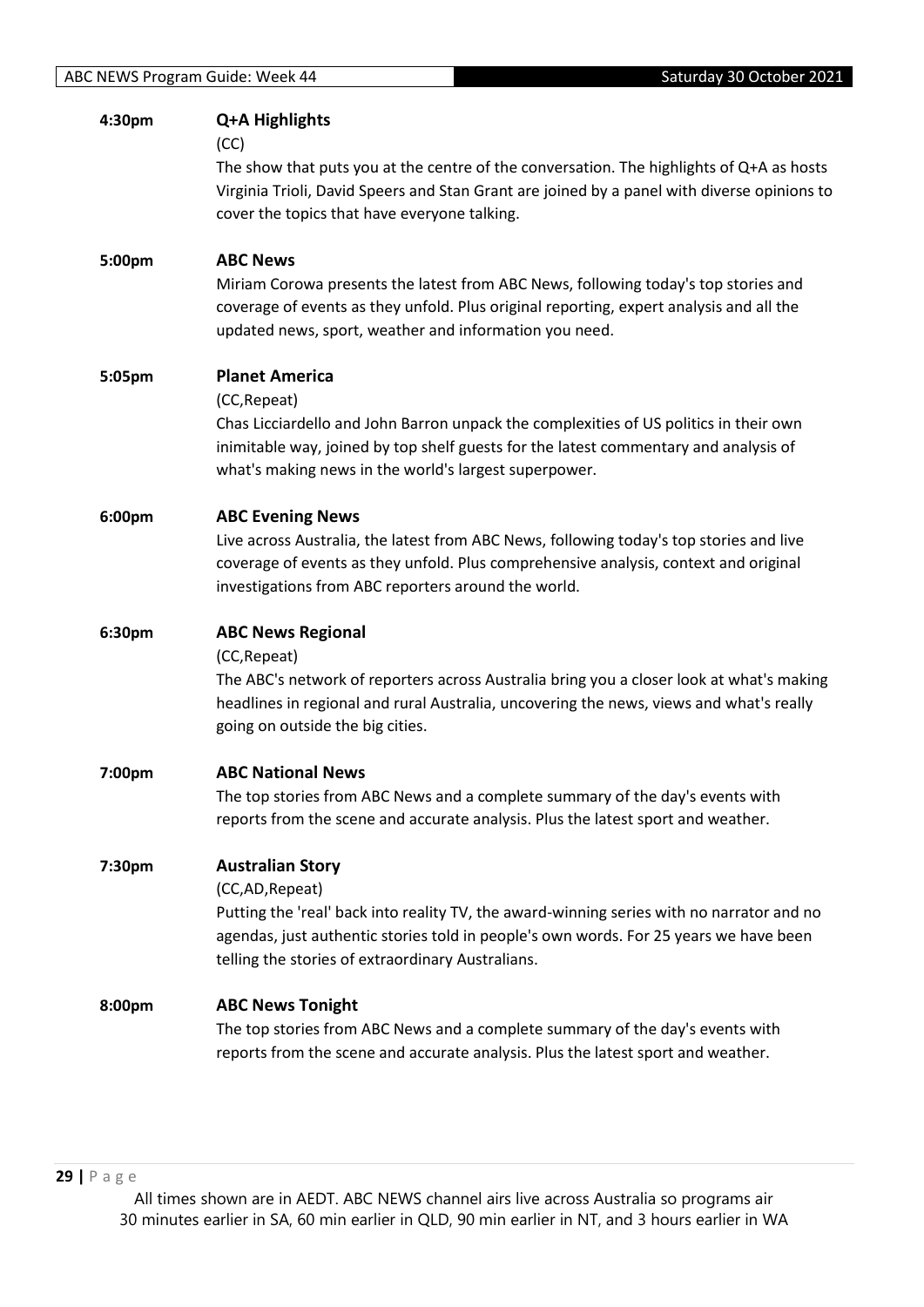| 4:30pm | Q+A Highlights<br>(CC)                                                                                                                                                              |
|--------|-------------------------------------------------------------------------------------------------------------------------------------------------------------------------------------|
|        | The show that puts you at the centre of the conversation. The highlights of Q+A as hosts                                                                                            |
|        | Virginia Trioli, David Speers and Stan Grant are joined by a panel with diverse opinions to                                                                                         |
|        | cover the topics that have everyone talking.                                                                                                                                        |
| 5:00pm | <b>ABC News</b>                                                                                                                                                                     |
|        | Miriam Corowa presents the latest from ABC News, following today's top stories and                                                                                                  |
|        | coverage of events as they unfold. Plus original reporting, expert analysis and all the<br>updated news, sport, weather and information you need.                                   |
|        |                                                                                                                                                                                     |
| 5:05pm | <b>Planet America</b>                                                                                                                                                               |
|        | (CC, Repeat)                                                                                                                                                                        |
|        | Chas Licciardello and John Barron unpack the complexities of US politics in their own<br>inimitable way, joined by top shelf guests for the latest commentary and analysis of       |
|        | what's making news in the world's largest superpower.                                                                                                                               |
| 6:00pm | <b>ABC Evening News</b>                                                                                                                                                             |
|        | Live across Australia, the latest from ABC News, following today's top stories and live                                                                                             |
|        | coverage of events as they unfold. Plus comprehensive analysis, context and original                                                                                                |
|        | investigations from ABC reporters around the world.                                                                                                                                 |
| 6:30pm | <b>ABC News Regional</b>                                                                                                                                                            |
|        | (CC, Repeat)                                                                                                                                                                        |
|        | The ABC's network of reporters across Australia bring you a closer look at what's making<br>headlines in regional and rural Australia, uncovering the news, views and what's really |
|        |                                                                                                                                                                                     |
|        |                                                                                                                                                                                     |
|        | going on outside the big cities.                                                                                                                                                    |
| 7:00pm | <b>ABC National News</b>                                                                                                                                                            |
|        | The top stories from ABC News and a complete summary of the day's events with                                                                                                       |
|        | reports from the scene and accurate analysis. Plus the latest sport and weather.                                                                                                    |
| 7:30pm | <b>Australian Story</b>                                                                                                                                                             |
|        | (CC,AD, Repeat)                                                                                                                                                                     |
|        | Putting the 'real' back into reality TV, the award-winning series with no narrator and no                                                                                           |
|        | agendas, just authentic stories told in people's own words. For 25 years we have been<br>telling the stories of extraordinary Australians.                                          |
| 8:00pm |                                                                                                                                                                                     |
|        | <b>ABC News Tonight</b><br>The top stories from ABC News and a complete summary of the day's events with                                                                            |
|        | reports from the scene and accurate analysis. Plus the latest sport and weather.                                                                                                    |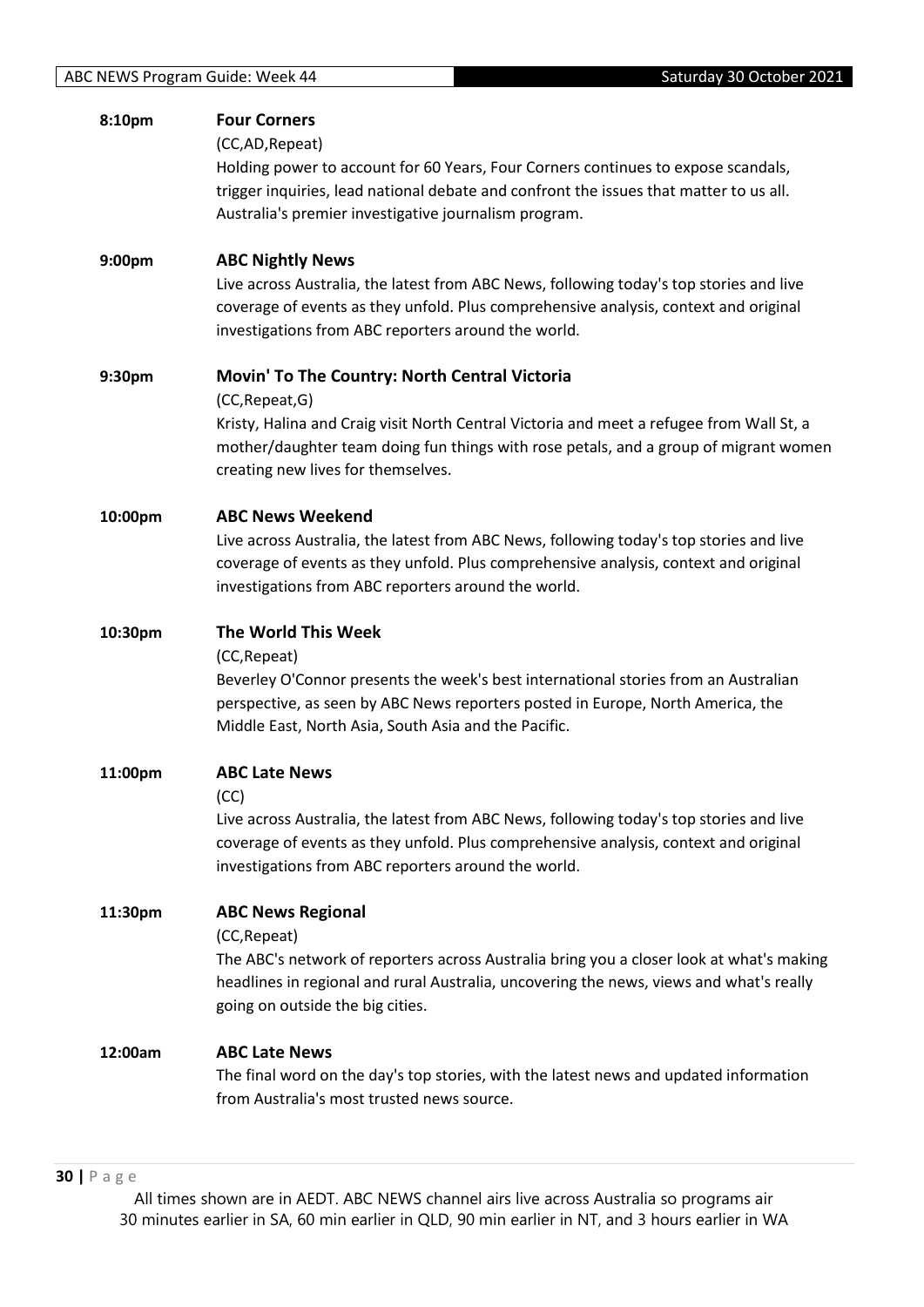| 8:10pm  | <b>Four Corners</b>                                                                      |
|---------|------------------------------------------------------------------------------------------|
|         | (CC,AD, Repeat)                                                                          |
|         | Holding power to account for 60 Years, Four Corners continues to expose scandals,        |
|         | trigger inquiries, lead national debate and confront the issues that matter to us all.   |
|         | Australia's premier investigative journalism program.                                    |
| 9:00pm  | <b>ABC Nightly News</b>                                                                  |
|         | Live across Australia, the latest from ABC News, following today's top stories and live  |
|         | coverage of events as they unfold. Plus comprehensive analysis, context and original     |
|         | investigations from ABC reporters around the world.                                      |
| 9:30pm  | Movin' To The Country: North Central Victoria                                            |
|         | (CC, Repeat, G)                                                                          |
|         | Kristy, Halina and Craig visit North Central Victoria and meet a refugee from Wall St, a |
|         | mother/daughter team doing fun things with rose petals, and a group of migrant women     |
|         | creating new lives for themselves.                                                       |
| 10:00pm | <b>ABC News Weekend</b>                                                                  |
|         | Live across Australia, the latest from ABC News, following today's top stories and live  |
|         | coverage of events as they unfold. Plus comprehensive analysis, context and original     |
|         | investigations from ABC reporters around the world.                                      |
|         |                                                                                          |
| 10:30pm | The World This Week                                                                      |
|         | (CC, Repeat)                                                                             |
|         | Beverley O'Connor presents the week's best international stories from an Australian      |
|         | perspective, as seen by ABC News reporters posted in Europe, North America, the          |
|         | Middle East, North Asia, South Asia and the Pacific.                                     |
| 11:00pm | <b>ABC Late News</b>                                                                     |
|         | (CC)                                                                                     |
|         | Live across Australia, the latest from ABC News, following today's top stories and live  |
|         | coverage of events as they unfold. Plus comprehensive analysis, context and original     |
|         | investigations from ABC reporters around the world.                                      |
| 11:30pm | <b>ABC News Regional</b>                                                                 |
|         | (CC, Repeat)                                                                             |
|         | The ABC's network of reporters across Australia bring you a closer look at what's making |
|         | headlines in regional and rural Australia, uncovering the news, views and what's really  |
|         | going on outside the big cities.                                                         |
| 12:00am | <b>ABC Late News</b>                                                                     |
|         | The final word on the day's top stories, with the latest news and updated information    |
|         | from Australia's most trusted news source.                                               |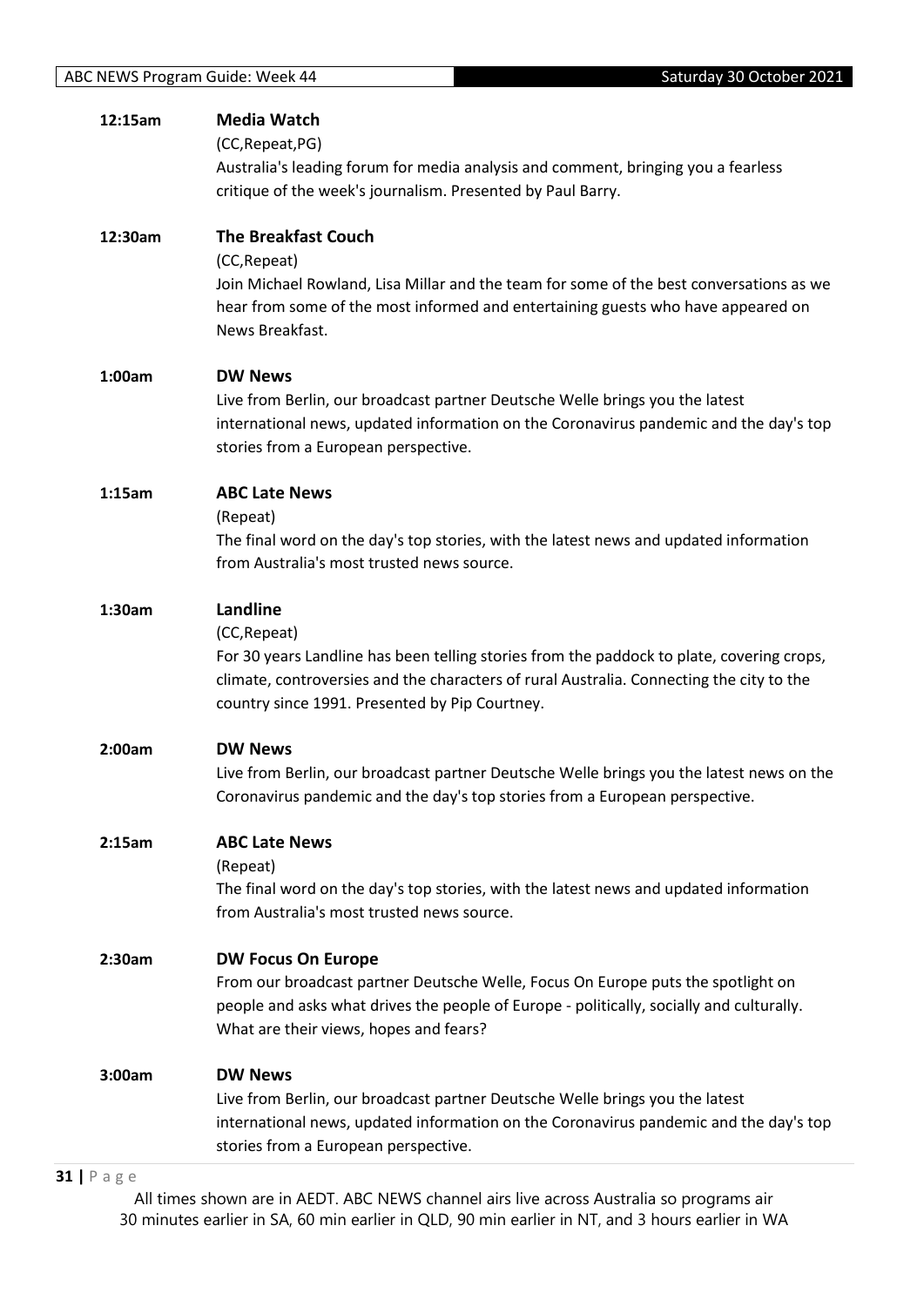| 12:15am | <b>Media Watch</b>                                                                        |
|---------|-------------------------------------------------------------------------------------------|
|         | (CC, Repeat, PG)                                                                          |
|         | Australia's leading forum for media analysis and comment, bringing you a fearless         |
|         | critique of the week's journalism. Presented by Paul Barry.                               |
|         |                                                                                           |
| 12:30am | <b>The Breakfast Couch</b>                                                                |
|         |                                                                                           |
|         | (CC, Repeat)                                                                              |
|         | Join Michael Rowland, Lisa Millar and the team for some of the best conversations as we   |
|         | hear from some of the most informed and entertaining guests who have appeared on          |
|         | News Breakfast.                                                                           |
|         |                                                                                           |
| 1:00am  | <b>DW News</b>                                                                            |
|         | Live from Berlin, our broadcast partner Deutsche Welle brings you the latest              |
|         | international news, updated information on the Coronavirus pandemic and the day's top     |
|         | stories from a European perspective.                                                      |
|         |                                                                                           |
| 1:15am  | <b>ABC Late News</b>                                                                      |
|         | (Repeat)                                                                                  |
|         | The final word on the day's top stories, with the latest news and updated information     |
|         | from Australia's most trusted news source.                                                |
| 1:30am  | Landline                                                                                  |
|         |                                                                                           |
|         | (CC, Repeat)                                                                              |
|         | For 30 years Landline has been telling stories from the paddock to plate, covering crops, |
|         | climate, controversies and the characters of rural Australia. Connecting the city to the  |
|         | country since 1991. Presented by Pip Courtney.                                            |
| 2:00am  | <b>DW News</b>                                                                            |
|         |                                                                                           |
|         | Live from Berlin, our broadcast partner Deutsche Welle brings you the latest news on the  |
|         | Coronavirus pandemic and the day's top stories from a European perspective.               |
| 2:15am  | <b>ABC Late News</b>                                                                      |
|         | (Repeat)                                                                                  |
|         | The final word on the day's top stories, with the latest news and updated information     |
|         | from Australia's most trusted news source.                                                |
|         |                                                                                           |
| 2:30am  | <b>DW Focus On Europe</b>                                                                 |
|         | From our broadcast partner Deutsche Welle, Focus On Europe puts the spotlight on          |
|         | people and asks what drives the people of Europe - politically, socially and culturally.  |
|         | What are their views, hopes and fears?                                                    |
|         |                                                                                           |
| 3:00am  | <b>DW News</b>                                                                            |
|         | Live from Berlin, our broadcast partner Deutsche Welle brings you the latest              |
|         | international news, updated information on the Coronavirus pandemic and the day's top     |
|         | stories from a European perspective.                                                      |
|         |                                                                                           |